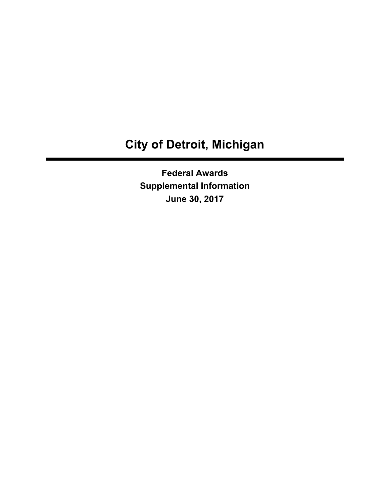**Federal Awards Supplemental Information June 30, 2017**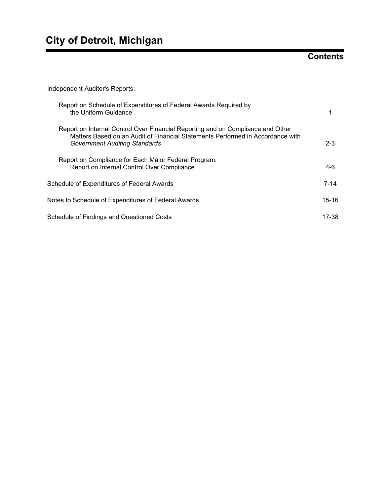# **Contents**

Independent Auditor's Reports:

| Report on Schedule of Expenditures of Federal Awards Required by<br>the Uniform Guidance                                                                                                           | 1         |
|----------------------------------------------------------------------------------------------------------------------------------------------------------------------------------------------------|-----------|
| Report on Internal Control Over Financial Reporting and on Compliance and Other<br>Matters Based on an Audit of Financial Statements Performed in Accordance with<br>Government Auditing Standards | $2 - 3$   |
| Report on Compliance for Each Major Federal Program;<br>Report on Internal Control Over Compliance                                                                                                 | 4-6       |
| Schedule of Expenditures of Federal Awards                                                                                                                                                         | 7-14      |
| Notes to Schedule of Expenditures of Federal Awards                                                                                                                                                | $15 - 16$ |
| Schedule of Findings and Questioned Costs                                                                                                                                                          | 17-38     |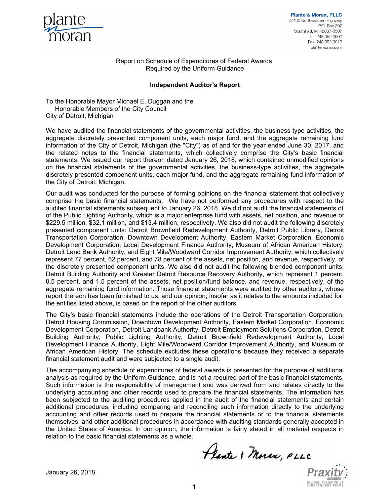

**Plante & Moran, PLLC** 27400 Northwestern Highway P.O. Box 307 Southfield, MI 48037-0307 Tel: 248.352.2500 Fax: 248.352.0018 plantemoran.com

#### Report on Schedule of Expenditures of Federal Awards Required by the Uniform Guidance

#### **Independent Auditor's Report**

To the Honorable Mayor Michael E. Duggan and the Honorable Members of the City Council City of Detroit, Michigan

We have audited the financial statements of the governmental activities, the business-type activities, the aggregate discretely presented component units, each major fund, and the aggregate remaining fund information of the City of Detroit, Michigan (the "City") as of and for the year ended June 30, 2017, and the related notes to the financial statements, which collectively comprise the City's basic financial statements. We issued our report thereon dated January 26, 2018, which contained unmodified opinions on the financial statements of the governmental activities, the business-type activities, the aggregate discretely presented component units, each major fund, and the aggregate remaining fund information of the City of Detroit, Michigan.

Our audit was conducted for the purpose of forming opinions on the financial statement that collectively comprise the basic financial statements. We have not performed any procedures with respect to the audited financial statements subsequent to January 26, 2018. We did not audit the financial statements of of the Public Lighting Authority, which is a major enterprise fund with assets, net position, and revenue of \$229.5 million, \$32.1 million, and \$13.4 million, respectively. We also did not audit the following discretely presented component units: Detroit Brownfield Redevelopment Authority, Detroit Public Library, Detroit Transportation Corporation, Downtown Development Authority, Eastern Market Corporation, Economic Development Corporation, Local Development Finance Authority, Museum of African American History, Detroit Land Bank Authority, and Eight Mile/Woodward Corridor Improvement Authority, which collectively represent 77 percent, 62 percent, and 78 percent of the assets, net position, and revenue, respectively, of the discretely presented component units. We also did not audit the following blended component units: Detroit Building Authority and Greater Detroit Resource Recovery Authority, which represent 1 percent, 0.5 percent, and 1.5 percent of the assets, net position/fund balance, and revenue, respectively, of the aggregate remaining fund information. Those financial statements were audited by other auditors, whose report thereon has been furnished to us, and our opinion, insofar as it relates to the amounts included for the entities listed above, is based on the report of the other auditors.

The City's basic financial statements include the operations of the Detroit Transportation Corporation, Detroit Housing Commission, Downtown Development Authority, Eastern Market Corporation, Economic Development Corporation, Detroit Landbank Authority, Detroit Employment Solutions Corporation, Detroit Building Authority, Public Lighting Authority, Detroit Brownfield Redevelopment Authority, Local Development Finance Authority, Eight Mile/Woodward Corridor Improvement Authority, and Museum of African American History. The schedule excludes these operations because they received a separate financial statement audit and were subjected to a single audit.

The accompanying schedule of expenditures of federal awards is presented for the purpose of additional analysis as required by the Uniform Guidance, and is not a required part of the basic financial statements. Such information is the responsibility of management and was derived from and relates directly to the underlying accounting and other records used to prepare the financial statements. The information has been subjected to the auditing procedures applied in the audit of the financial statements and certain additional procedures, including comparing and reconciling such information directly to the underlying accounting and other records used to prepare the financial statements or to the financial statements themselves, and other additional procedures in accordance with auditing standards generally accepted in the United States of America. In our opinion, the information is fairly stated in all material respects in relation to the basic financial statements as a whole.

Plante & Moran, PLLC



January 26, 2018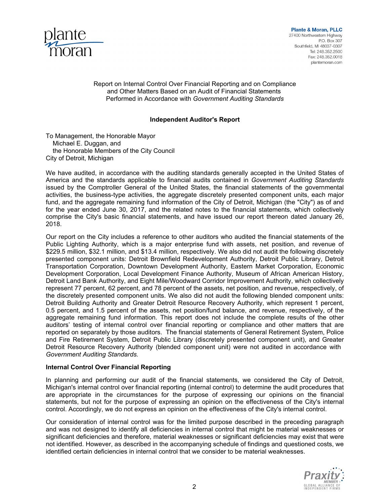

**Plante & Moran, PLLC** 27400 Northwestern Highway P.O. Box 307 Southfield, MI 48037-0307 Tel: 248.352.2500 Fax: 248.352.0018 plantemoran.com

Report on Internal Control Over Financial Reporting and on Compliance and Other Matters Based on an Audit of Financial Statements Performed in Accordance with *Government Auditing Standards*

#### **Independent Auditor's Report**

To Management, the Honorable Mayor Michael E. Duggan, and the Honorable Members of the City Council City of Detroit, Michigan

We have audited, in accordance with the auditing standards generally accepted in the United States of America and the standards applicable to financial audits contained in *Government Auditing Standards* issued by the Comptroller General of the United States, the financial statements of the governmental activities, the business-type activities, the aggregate discretely presented component units, each major fund, and the aggregate remaining fund information of the City of Detroit, Michigan (the "City") as of and for the year ended June 30, 2017, and the related notes to the financial statements, which collectively comprise the City's basic financial statements, and have issued our report thereon dated January 26, 2018.

Our report on the City includes a reference to other auditors who audited the financial statements of the Public Lighting Authority, which is a major enterprise fund with assets, net position, and revenue of \$229.5 million, \$32.1 million, and \$13.4 million, respectively. We also did not audit the following discretely presented component units: Detroit Brownfield Redevelopment Authority, Detroit Public Library, Detroit Transportation Corporation, Downtown Development Authority, Eastern Market Corporation, Economic Development Corporation, Local Development Finance Authority, Museum of African American History, Detroit Land Bank Authority, and Eight Mile/Woodward Corridor Improvement Authority, which collectively represent 77 percent, 62 percent, and 78 percent of the assets, net position, and revenue, respectively, of the discretely presented component units. We also did not audit the following blended component units: Detroit Building Authority and Greater Detroit Resource Recovery Authority, which represent 1 percent, 0.5 percent, and 1.5 percent of the assets, net position/fund balance, and revenue, respectively, of the aggregate remaining fund information. This report does not include the complete results of the other auditors' testing of internal control over financial reporting or compliance and other matters that are reported on separately by those auditors. The financial statements of General Retirement System, Police and Fire Retirement System, Detroit Public Library (discretely presented component unit), and Greater Detroit Resource Recovery Authority (blended component unit) were not audited in accordance with *Government Auditing Standards.*

#### **Internal Control Over Financial Reporting**

In planning and performing our audit of the financial statements, we considered the City of Detroit, Michigan's internal control over financial reporting (internal control) to determine the audit procedures that are appropriate in the circumstances for the purpose of expressing our opinions on the financial statements, but not for the purpose of expressing an opinion on the effectiveness of the City's internal control. Accordingly, we do not express an opinion on the effectiveness of the City's internal control.

Our consideration of internal control was for the limited purpose described in the preceding paragraph and was not designed to identify all deficiencies in internal control that might be material weaknesses or significant deficiencies and therefore, material weaknesses or significant deficiencies may exist that were not identified. However, as described in the accompanying schedule of findings and questioned costs, we identified certain deficiencies in internal control that we consider to be material weaknesses.

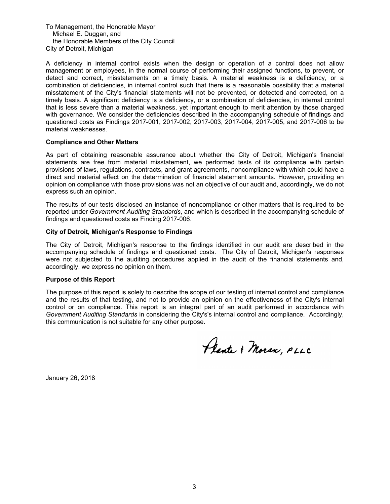#### To Management, the Honorable Mayor Michael E. Duggan, and the Honorable Members of the City Council City of Detroit, Michigan

A deficiency in internal control exists when the design or operation of a control does not allow management or employees, in the normal course of performing their assigned functions, to prevent, or detect and correct, misstatements on a timely basis. A material weakness is a deficiency, or a combination of deficiencies, in internal control such that there is a reasonable possibility that a material misstatement of the City's financial statements will not be prevented, or detected and corrected, on a timely basis. A significant deficiency is a deficiency, or a combination of deficiencies, in internal control that is less severe than a material weakness, yet important enough to merit attention by those charged with governance. We consider the deficiencies described in the accompanying schedule of findings and questioned costs as Findings 2017-001, 2017-002, 2017-003, 2017-004, 2017-005, and 2017-006 to be material weaknesses.

#### **Compliance and Other Matters**

As part of obtaining reasonable assurance about whether the City of Detroit, Michigan's financial statements are free from material misstatement, we performed tests of its compliance with certain provisions of laws, regulations, contracts, and grant agreements, noncompliance with which could have a direct and material effect on the determination of financial statement amounts. However, providing an opinion on compliance with those provisions was not an objective of our audit and, accordingly, we do not express such an opinion.

The results of our tests disclosed an instance of noncompliance or other matters that is required to be reported under *Government Auditing Standards*, and which is described in the accompanying schedule of findings and questioned costs as Finding 2017-006.

#### **City of Detroit, Michigan's Response to Findings**

The City of Detroit, Michigan's response to the findings identified in our audit are described in the accompanying schedule of findings and questioned costs. The City of Detroit, Michigan's responses were not subjected to the auditing procedures applied in the audit of the financial statements and, accordingly, we express no opinion on them.

#### **Purpose of this Report**

The purpose of this report is solely to describe the scope of our testing of internal control and compliance and the results of that testing, and not to provide an opinion on the effectiveness of the City's internal control or on compliance. This report is an integral part of an audit performed in accordance with *Government Auditing Standards* in considering the City's's internal control and compliance. Accordingly, this communication is not suitable for any other purpose.

Plante & Moran, PLLC

January 26, 2018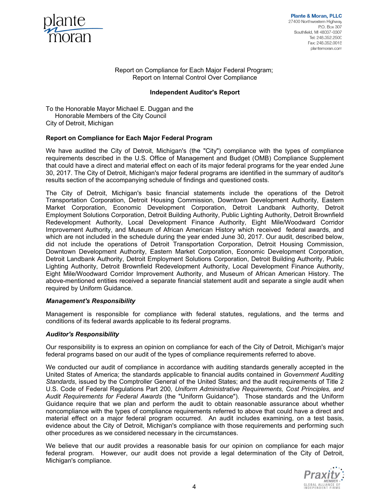

**Plante & Moran, PLLC** 27400 Northwestern Highway P.O. Box 307 Southfield, MI 48037-0307 Tel: 248.352.2500 Fax: 248 352 0018 plantemoran.com

#### Report on Compliance for Each Major Federal Program; Report on Internal Control Over Compliance

#### **Independent Auditor's Report**

To the Honorable Mayor Michael E. Duggan and the Honorable Members of the City Council City of Detroit, Michigan

#### **Report on Compliance for Each Major Federal Program**

We have audited the City of Detroit, Michigan's (the "City") compliance with the types of compliance requirements described in the U.S. Office of Management and Budget (OMB) Compliance Supplement that could have a direct and material effect on each of its major federal programs for the year ended June 30, 2017. The City of Detroit, Michigan's major federal programs are identified in the summary of auditor's results section of the accompanying schedule of findings and questioned costs.

The City of Detroit, Michigan's basic financial statements include the operations of the Detroit Transportation Corporation, Detroit Housing Commission, Downtown Development Authority, Eastern Market Corporation, Economic Development Corporation, Detroit Landbank Authority, Detroit Employment Solutions Corporation, Detroit Building Authority, Public Lighting Authority, Detroit Brownfield Redevelopment Authority, Local Development Finance Authority, Eight Mile/Woodward Corridor Improvement Authority, and Museum of African American History which received federal awards, and which are not included in the schedule during the year ended June 30, 2017. Our audit, described below, did not include the operations of Detroit Transportation Corporation, Detroit Housing Commission, Downtown Development Authority, Eastern Market Corporation, Economic Development Corporation, Detroit Landbank Authority, Detroit Employment Solutions Corporation, Detroit Building Authority, Public Lighting Authority, Detroit Brownfield Redevelopment Authority, Local Development Finance Authority, Eight Mile/Woodward Corridor Improvement Authority, and Museum of African American History. The above-mentioned entities received a separate financial statement audit and separate a single audit when required by Uniform Guidance.

#### *Management's Responsibility*

Management is responsible for compliance with federal statutes, regulations, and the terms and conditions of its federal awards applicable to its federal programs.

#### *Auditor's Responsibility*

Our responsibility is to express an opinion on compliance for each of the City of Detroit, Michigan's major federal programs based on our audit of the types of compliance requirements referred to above.

We conducted our audit of compliance in accordance with auditing standards generally accepted in the United States of America; the standards applicable to financial audits contained in *Government Auditing Standards*, issued by the Comptroller General of the United States; and the audit requirements of Title 2 U.S. Code of Federal Regulations Part 200*, Uniform Administrative Requirements, Cost Principles, and Audit Requirements for Federal Awards* (the "Uniform Guidance")*.* Those standards and the Uniform Guidance require that we plan and perform the audit to obtain reasonable assurance about whether noncompliance with the types of compliance requirements referred to above that could have a direct and material effect on a major federal program occurred. An audit includes examining, on a test basis, evidence about the City of Detroit, Michigan's compliance with those requirements and performing such other procedures as we considered necessary in the circumstances.

We believe that our audit provides a reasonable basis for our opinion on compliance for each major federal program. However, our audit does not provide a legal determination of the City of Detroit, Michigan's compliance.

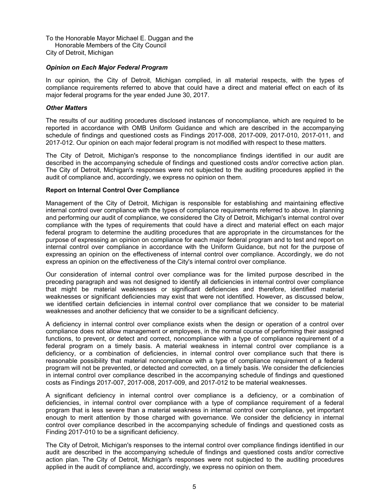To the Honorable Mayor Michael E. Duggan and the Honorable Members of the City Council City of Detroit, Michigan

#### *Opinion on Each Major Federal Program*

In our opinion, the City of Detroit, Michigan complied, in all material respects, with the types of compliance requirements referred to above that could have a direct and material effect on each of its major federal programs for the year ended June 30, 2017.

#### *Other Matters*

The results of our auditing procedures disclosed instances of noncompliance, which are required to be reported in accordance with OMB Uniform Guidance and which are described in the accompanying schedule of findings and questioned costs as Findings 2017-008, 2017-009, 2017-010, 2017-011, and 2017-012. Our opinion on each major federal program is not modified with respect to these matters.

The City of Detroit, Michigan's response to the noncompliance findings identified in our audit are described in the accompanying schedule of findings and questioned costs and/or corrective action plan. The City of Detroit, Michigan's responses were not subjected to the auditing procedures applied in the audit of compliance and, accordingly, we express no opinion on them.

#### **Report on Internal Control Over Compliance**

Management of the City of Detroit, Michigan is responsible for establishing and maintaining effective internal control over compliance with the types of compliance requirements referred to above. In planning and performing our audit of compliance, we considered the City of Detroit, Michigan's internal control over compliance with the types of requirements that could have a direct and material effect on each major federal program to determine the auditing procedures that are appropriate in the circumstances for the purpose of expressing an opinion on compliance for each major federal program and to test and report on internal control over compliance in accordance with the Uniform Guidance, but not for the purpose of expressing an opinion on the effectiveness of internal control over compliance. Accordingly, we do not express an opinion on the effectiveness of the City's internal control over compliance.

Our consideration of internal control over compliance was for the limited purpose described in the preceding paragraph and was not designed to identify all deficiencies in internal control over compliance that might be material weaknesses or significant deficiencies and therefore, identified material weaknesses or significant deficiencies may exist that were not identified. However, as discussed below, we identified certain deficiencies in internal control over compliance that we consider to be material weaknesses and another deficiency that we consider to be a significant deficiency.

A deficiency in internal control over compliance exists when the design or operation of a control over compliance does not allow management or employees, in the normal course of performing their assigned functions, to prevent, or detect and correct, noncompliance with a type of compliance requirement of a federal program on a timely basis. A material weakness in internal control over compliance is a deficiency, or a combination of deficiencies, in internal control over compliance such that there is reasonable possibility that material noncompliance with a type of compliance requirement of a federal program will not be prevented, or detected and corrected, on a timely basis. We consider the deficiencies in internal control over compliance described in the accompanying schedule of findings and questioned costs as Findings 2017-007, 2017-008, 2017-009, and 2017-012 to be material weaknesses.

A significant deficiency in internal control over compliance is a deficiency, or a combination of deficiencies, in internal control over compliance with a type of compliance requirement of a federal program that is less severe than a material weakness in internal control over compliance, yet important enough to merit attention by those charged with governance. We consider the deficiency in internal control over compliance described in the accompanying schedule of findings and questioned costs as Finding 2017-010 to be a significant deficiency.

The City of Detroit, Michigan's responses to the internal control over compliance findings identified in our audit are described in the accompanying schedule of findings and questioned costs and/or corrective action plan. The City of Detroit, Michigan's responses were not subjected to the auditing procedures applied in the audit of compliance and, accordingly, we express no opinion on them.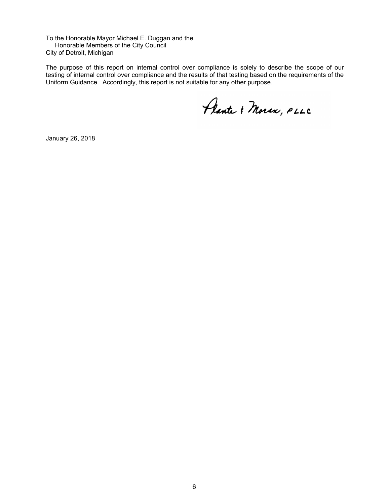To the Honorable Mayor Michael E. Duggan and the Honorable Members of the City Council City of Detroit, Michigan

The purpose of this report on internal control over compliance is solely to describe the scope of our testing of internal control over compliance and the results of that testing based on the requirements of the Uniform Guidance. Accordingly, this report is not suitable for any other purpose.

Plante & Moran, PLLC

January 26, 2018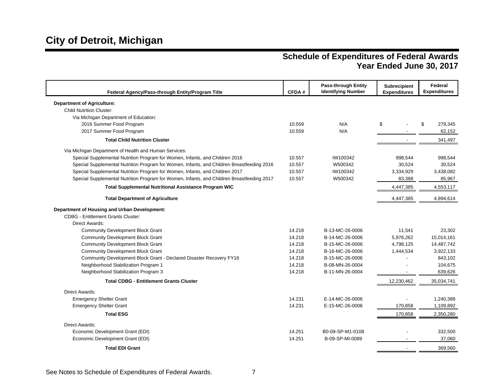|                                                                                            |        | <b>Pass-through Entity</b> | <b>Subrecipient</b> | Federal             |
|--------------------------------------------------------------------------------------------|--------|----------------------------|---------------------|---------------------|
| Federal Agency/Pass-through Entity/Program Title                                           | CFDA#  | <b>Identifying Number</b>  | <b>Expenditures</b> | <b>Expenditures</b> |
| <b>Department of Agriculture:</b>                                                          |        |                            |                     |                     |
| <b>Child Nutrition Cluster:</b>                                                            |        |                            |                     |                     |
| Via Michigan Department of Education:                                                      |        |                            |                     |                     |
| 2016 Summer Food Program                                                                   | 10.559 | N/A                        | \$                  | \$<br>279,345       |
| 2017 Summer Food Program                                                                   | 10.559 | N/A                        |                     | 62,152              |
| <b>Total Child Nutrition Cluster</b>                                                       |        |                            |                     | 341,497             |
| Via Michigan Department of Health and Human Services:                                      |        |                            |                     |                     |
| Special Supplemental Nutrition Program for Women, Infants, and Children 2016               | 10.557 | IW100342                   | 998,544             | 998,544             |
| Special Supplemental Nutrition Program for Women, Infants, and Children Breastfeeding 2016 | 10.557 | W500342                    | 30,524              | 30,524              |
| Special Supplemental Nutrition Program for Women, Infants, and Children 2017               | 10.557 | IW100342                   | 3,334,929           | 3,438,082           |
| Special Supplemental Nutrition Program for Women, Infants, and Children Breastfeeding 2017 | 10.557 | W500342                    | 83,388              | 85,967              |
| <b>Total Supplemental Nutritional Assistance Program WIC</b>                               |        |                            | 4,447,385           | 4,553,117           |
| <b>Total Department of Agriculture</b>                                                     |        |                            | 4,447,385           | 4,894,614           |
| Department of Housing and Urban Development:                                               |        |                            |                     |                     |
| <b>CDBG - Entitlement Grants Cluster:</b>                                                  |        |                            |                     |                     |
| Direct Awards:                                                                             |        |                            |                     |                     |
| <b>Community Development Block Grant</b>                                                   | 14.218 | B-13-MC-26-0006            | 11,541              | 23.302              |
| <b>Community Development Block Grant</b>                                                   | 14.218 | B-14-MC-26-0006            | 5.976.262           | 15.014.161          |
| <b>Community Development Block Grant</b>                                                   | 14.218 | B-15-MC-26-0006            | 4,798,125           | 14,487,742          |
| <b>Community Development Block Grant</b>                                                   | 14.218 | B-16-MC-26-0006            | 1,444,534           | 3,922,133           |
| Community Development Block Grant - Declared Disaster Recovery FY16                        | 14.218 | B-15-MC-26-0006            |                     | 843,102             |
| Neighborhood Stabilization Program 1                                                       | 14.218 | B-08-MN-26-0004            |                     | 104,675             |
| Neighborhood Stabilization Program 3                                                       | 14.218 | B-11-MN-26-0004            |                     | 639,626             |
| <b>Total CDBG - Entitlement Grants Cluster</b>                                             |        |                            | 12,230,462          | 35,034,741          |
| Direct Awards:                                                                             |        |                            |                     |                     |
| <b>Emergency Shelter Grant</b>                                                             | 14.231 | E-14-MC-26-0006            |                     | 1,240,388           |
| <b>Emergency Shelter Grant</b>                                                             | 14.231 | E-15-MC-26-0006            | 170,858             | 1,109,892           |
| <b>Total ESG</b>                                                                           |        |                            | 170,858             | 2,350,280           |
| Direct Awards:                                                                             |        |                            |                     |                     |
| Economic Development Grant (EDI)                                                           | 14.251 | B0-09-SP-M1-0108           |                     | 332,500             |
| Economic Development Grant (EDI)                                                           | 14.251 | B-09-SP-MI-0089            |                     | 37,060              |
| <b>Total EDI Grant</b>                                                                     |        |                            |                     | 369,560             |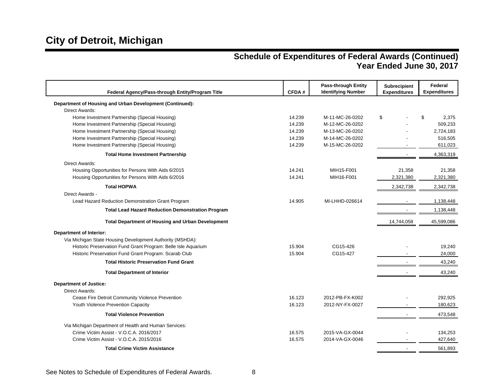| Federal Agency/Pass-through Entity/Program Title              | CFDA#  | <b>Pass-through Entity</b><br><b>Identifying Number</b> | <b>Subrecipient</b><br><b>Expenditures</b> | Federal<br><b>Expenditures</b> |
|---------------------------------------------------------------|--------|---------------------------------------------------------|--------------------------------------------|--------------------------------|
| Department of Housing and Urban Development (Continued):      |        |                                                         |                                            |                                |
| <b>Direct Awards:</b>                                         |        |                                                         |                                            |                                |
| Home Investment Partnership (Special Housing)                 | 14.239 | M-11-MC-26-0202                                         | \$                                         | \$<br>2,375                    |
| Home Investment Partnership (Special Housing)                 | 14.239 | M-12-MC-26-0202                                         |                                            | 509.233                        |
| Home Investment Partnership (Special Housing)                 | 14.239 | M-13-MC-26-0202                                         |                                            | 2,724,183                      |
| Home Investment Partnership (Special Housing)                 | 14.239 | M-14-MC-26-0202                                         |                                            | 516,505                        |
| Home Investment Partnership (Special Housing)                 | 14.239 | M-15-MC-26-0202                                         |                                            | 611,023                        |
| <b>Total Home Investment Partnership</b>                      |        |                                                         |                                            | 4,363,319                      |
| Direct Awards:                                                |        |                                                         |                                            |                                |
| Housing Opportunities for Persons With Aids 6/2015            | 14.241 | MIH15-F001                                              | 21,358                                     | 21,358                         |
| Housing Opportunities for Persons With Aids 6/2016            | 14.241 | MIH16-F001                                              | 2,321,380                                  | 2,321,380                      |
| <b>Total HOPWA</b>                                            |        |                                                         | 2,342,738                                  | 2,342,738                      |
| Direct Awards -                                               |        |                                                         |                                            |                                |
| Lead Hazard Reduction Demonstration Grant Program             | 14.905 | MI-LHHD-026614                                          |                                            | 1,138,448                      |
| <b>Total Lead Hazard Reduction Demonstration Program</b>      |        |                                                         |                                            | 1,138,448                      |
| <b>Total Department of Housing and Urban Development</b>      |        |                                                         | 14,744,058                                 | 45,599,086                     |
| <b>Department of Interior:</b>                                |        |                                                         |                                            |                                |
| Via Michigan State Housing Development Authority (MSHDA):     |        |                                                         |                                            |                                |
| Historic Preservation Fund Grant Program: Belle Isle Aquarium | 15.904 | CG15-426                                                |                                            | 19,240                         |
| Historic Preservation Fund Grant Program: Scarab Club         | 15.904 | CG15-427                                                |                                            | 24,000                         |
| <b>Total Historic Preservation Fund Grant</b>                 |        |                                                         |                                            | 43,240                         |
| <b>Total Department of Interior</b>                           |        |                                                         |                                            | 43,240                         |
| <b>Department of Justice:</b>                                 |        |                                                         |                                            |                                |
| <b>Direct Awards:</b>                                         |        |                                                         |                                            |                                |
| Cease Fire Detroit Community Violence Prevention              | 16.123 | 2012-PB-FX-K002                                         |                                            | 292.925                        |
| Youth Violence Prevention Capacity                            | 16.123 | 2012-NY-FX-0027                                         |                                            | 180,623                        |
| <b>Total Violence Prevention</b>                              |        |                                                         |                                            | 473,548                        |
| Via Michigan Department of Health and Human Services:         |        |                                                         |                                            |                                |
| Crime Victim Assist - V.O.C.A. 2016/2017                      | 16.575 | 2015-VA-GX-0044                                         |                                            | 134,253                        |
| Crime Victim Assist - V.O.C.A. 2015/2016                      | 16.575 | 2014-VA-GX-0046                                         |                                            | 427,640                        |
| <b>Total Crime Victim Assistance</b>                          |        |                                                         |                                            |                                |
|                                                               |        |                                                         |                                            | 561,893                        |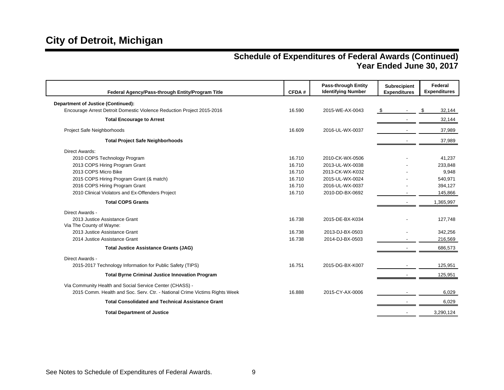| Federal Agency/Pass-through Entity/Program Title                           | CFDA#  | <b>Pass-through Entity</b><br><b>Identifying Number</b> | <b>Subrecipient</b><br><b>Expenditures</b> | Federal<br><b>Expenditures</b> |
|----------------------------------------------------------------------------|--------|---------------------------------------------------------|--------------------------------------------|--------------------------------|
| <b>Department of Justice (Continued):</b>                                  |        |                                                         |                                            |                                |
| Encourage Arrest Detroit Domestic Violence Reduction Project 2015-2016     | 16.590 | 2015-WE-AX-0043                                         | \$                                         | 32,144<br>- \$                 |
| <b>Total Encourage to Arrest</b>                                           |        |                                                         |                                            | 32,144                         |
| Project Safe Neighborhoods                                                 | 16.609 | 2016-UL-WX-0037                                         |                                            | 37,989                         |
| <b>Total Project Safe Neighborhoods</b>                                    |        |                                                         |                                            | 37,989                         |
| <b>Direct Awards:</b>                                                      |        |                                                         |                                            |                                |
| 2010 COPS Technology Program                                               | 16.710 | 2010-CK-WX-0506                                         |                                            | 41,237                         |
| 2013 COPS Hiring Program Grant                                             | 16.710 | 2013-UL-WX-0038                                         |                                            | 233,848                        |
| 2013 COPS Micro Bike                                                       | 16.710 | 2013-CK-WX-K032                                         |                                            | 9,948                          |
| 2015 COPS Hiring Program Grant (& match)                                   | 16.710 | 2015-UL-WX-0024                                         |                                            | 540,971                        |
| 2016 COPS Hiring Program Grant                                             | 16.710 | 2016-UL-WX-0037                                         |                                            | 394,127                        |
| 2010 Clinical Violators and Ex-Offenders Project                           | 16.710 | 2010-DD-BX-0692                                         |                                            | 145,866                        |
| <b>Total COPS Grants</b>                                                   |        |                                                         |                                            | 1,365,997                      |
| Direct Awards -                                                            |        |                                                         |                                            |                                |
| 2013 Justice Assistance Grant                                              | 16.738 | 2015-DE-BX-K034                                         |                                            | 127.748                        |
| Via The County of Wayne:                                                   |        |                                                         |                                            |                                |
| 2013 Justice Assistance Grant                                              | 16.738 | 2013-DJ-BX-0503                                         |                                            | 342,256                        |
| 2014 Justice Assistance Grant                                              | 16.738 | 2014-DJ-BX-0503                                         |                                            | 216,569                        |
| <b>Total Justice Assistance Grants (JAG)</b>                               |        |                                                         |                                            | 686,573                        |
| Direct Awards -                                                            |        |                                                         |                                            |                                |
| 2015-2017 Technology Information for Public Safety (TIPS)                  | 16.751 | 2015-DG-BX-K007                                         |                                            | 125.951                        |
| <b>Total Byrne Criminal Justice Innovation Program</b>                     |        |                                                         |                                            | 125,951                        |
| Via Community Health and Social Service Center (CHASS) -                   |        |                                                         |                                            |                                |
| 2015 Comm. Health and Soc. Serv. Ctr. - National Crime Victims Rights Week | 16.888 | 2015-CY-AX-0006                                         |                                            | 6,029                          |
| <b>Total Consolidated and Technical Assistance Grant</b>                   |        |                                                         |                                            | 6,029                          |
| <b>Total Department of Justice</b>                                         |        |                                                         |                                            | 3,290,124                      |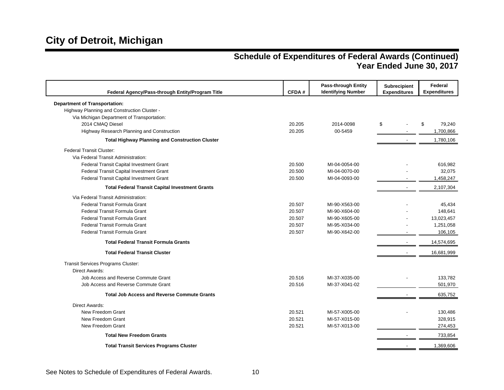| Federal Agency/Pass-through Entity/Program Title       | CFDA#  | <b>Pass-through Entity</b><br><b>Identifying Number</b> | <b>Subrecipient</b><br><b>Expenditures</b> | Federal<br><b>Expenditures</b> |
|--------------------------------------------------------|--------|---------------------------------------------------------|--------------------------------------------|--------------------------------|
| <b>Department of Transportation:</b>                   |        |                                                         |                                            |                                |
| Highway Planning and Construction Cluster -            |        |                                                         |                                            |                                |
| Via Michigan Department of Transportation:             |        |                                                         |                                            |                                |
| 2014 CMAQ Diesel                                       | 20.205 | 2014-0098                                               | \$                                         | \$<br>79,240                   |
| Highway Research Planning and Construction             | 20.205 | 00-5459                                                 |                                            | 1.700.866                      |
| <b>Total Highway Planning and Construction Cluster</b> |        |                                                         |                                            | 1,780,106                      |
| <b>Federal Transit Cluster:</b>                        |        |                                                         |                                            |                                |
| Via Federal Transit Administration:                    |        |                                                         |                                            |                                |
| Federal Transit Capital Investment Grant               | 20.500 | MI-04-0054-00                                           |                                            | 616,982                        |
| Federal Transit Capital Investment Grant               | 20.500 | MI-04-0070-00                                           |                                            | 32,075                         |
| Federal Transit Capital Investment Grant               | 20.500 | MI-04-0093-00                                           |                                            | 1,458,247                      |
| <b>Total Federal Transit Capital Investment Grants</b> |        |                                                         |                                            | 2,107,304                      |
| Via Federal Transit Administration:                    |        |                                                         |                                            |                                |
| Federal Transit Formula Grant                          | 20.507 | MI-90-X563-00                                           |                                            | 45,434                         |
| Federal Transit Formula Grant                          | 20.507 | MI-90-X604-00                                           |                                            | 148,641                        |
| Federal Transit Formula Grant                          | 20.507 | MI-90-X605-00                                           |                                            | 13,023,457                     |
| Federal Transit Formula Grant                          | 20.507 | MI-95-X034-00                                           |                                            | 1,251,058                      |
| Federal Transit Formula Grant                          | 20.507 | MI-90-X642-00                                           |                                            | 106,105                        |
| <b>Total Federal Transit Formula Grants</b>            |        |                                                         |                                            | 14,574,695                     |
| <b>Total Federal Transit Cluster</b>                   |        |                                                         |                                            | 16,681,999                     |
| Transit Services Programs Cluster:                     |        |                                                         |                                            |                                |
| Direct Awards:                                         |        |                                                         |                                            |                                |
| Job Access and Reverse Commute Grant                   | 20.516 | MI-37-X035-00                                           |                                            | 133,782                        |
| Job Access and Reverse Commute Grant                   | 20.516 | MI-37-X041-02                                           |                                            | 501,970                        |
| <b>Total Job Access and Reverse Commute Grants</b>     |        |                                                         |                                            | 635,752                        |
| Direct Awards:                                         |        |                                                         |                                            |                                |
| New Freedom Grant                                      | 20.521 | MI-57-X005-00                                           |                                            | 130,486                        |
| New Freedom Grant                                      | 20.521 | MI-57-X015-00                                           |                                            | 328,915                        |
| New Freedom Grant                                      | 20.521 | MI-57-X013-00                                           |                                            | 274,453                        |
| <b>Total New Freedom Grants</b>                        |        |                                                         |                                            | 733,854                        |
| <b>Total Transit Services Programs Cluster</b>         |        |                                                         |                                            | 1,369,606                      |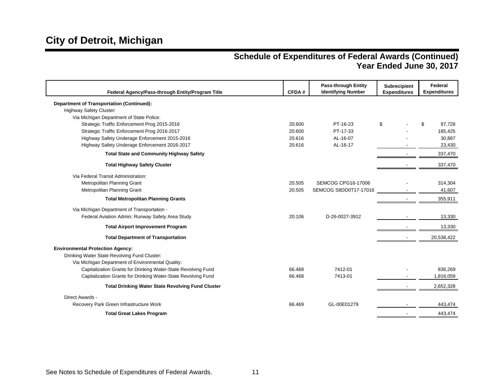| Federal Agency/Pass-through Entity/Program Title              | CFDA#  | <b>Pass-through Entity</b><br><b>Identifying Number</b> | <b>Subrecipient</b><br><b>Expenditures</b> | Federal<br><b>Expenditures</b> |
|---------------------------------------------------------------|--------|---------------------------------------------------------|--------------------------------------------|--------------------------------|
| <b>Department of Transportation (Continued):</b>              |        |                                                         |                                            |                                |
| <b>Highway Safety Cluster:</b>                                |        |                                                         |                                            |                                |
| Via Michigan Department of State Police:                      |        |                                                         |                                            |                                |
| Strategic Traffic Enforcement Prog 2015-2016                  | 20.600 | PT-16-23                                                | \$                                         | 97,728<br>\$                   |
| Strategic Traffic Enforcement Prog 2016-2017                  | 20.600 | PT-17-33                                                |                                            | 185,425                        |
| Highway Safety Underage Enforcement 2015-2016                 | 20.616 | AL-16-07                                                |                                            | 30,887                         |
| Highway Safety Underage Enforcement 2016-2017                 | 20.616 | AL-16-17                                                |                                            | 23,430                         |
| <b>Total State and Community Highway Safety</b>               |        |                                                         |                                            | 337,470                        |
| <b>Total Highway Safety Cluster</b>                           |        |                                                         |                                            | 337,470                        |
| Via Federal Transit Administration:                           |        |                                                         |                                            |                                |
| Metropolitan Planning Grant                                   | 20.505 | SEMCOG CPG16-17006                                      |                                            | 314,304                        |
| Metropolitan Planning Grant                                   | 20.505 | SEMCOG S8DD0T17-17016                                   |                                            | 41,607                         |
| <b>Total Metropolitan Planning Grants</b>                     |        |                                                         |                                            | 355,911                        |
| Via Michigan Department of Transportation -                   |        |                                                         |                                            |                                |
| Federal Aviation Admin: Runway Safety Area Study              | 20.106 | D-26-0027-3912                                          |                                            | 13,330                         |
| <b>Total Airport Improvement Program</b>                      |        |                                                         |                                            | 13,330                         |
| <b>Total Department of Transportation</b>                     |        |                                                         |                                            | 20,538,422                     |
| <b>Environmental Protection Agency:</b>                       |        |                                                         |                                            |                                |
| Drinking Water State Revolving Fund Cluster:                  |        |                                                         |                                            |                                |
| Via Michigan Department of Environmental Quality:             |        |                                                         |                                            |                                |
| Capitalization Grants for Drinking Water-State Revolving Fund | 66.468 | 7412-01                                                 |                                            | 836,269                        |
| Capitalization Grants for Drinking Water-State Revolving Fund | 66.468 | 7413-01                                                 |                                            | 1,816,059                      |
| <b>Total Drinking Water State Revolving Fund Cluster</b>      |        |                                                         |                                            | 2,652,328                      |
| Direct Awards -                                               |        |                                                         |                                            |                                |
| Recovery Park Green Infrastructure Work                       | 66.469 | GL-00E01279                                             |                                            | 443,474                        |
| <b>Total Great Lakes Program</b>                              |        |                                                         |                                            | 443,474                        |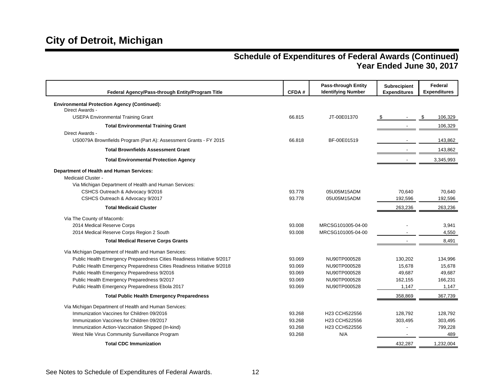| Federal Agency/Pass-through Entity/Program Title                        | CFDA#  | Pass-through Entity<br><b>Identifying Number</b> | <b>Subrecipient</b><br><b>Expenditures</b> | Federal<br><b>Expenditures</b> |
|-------------------------------------------------------------------------|--------|--------------------------------------------------|--------------------------------------------|--------------------------------|
| <b>Environmental Protection Agency (Continued):</b>                     |        |                                                  |                                            |                                |
| Direct Awards -                                                         |        |                                                  |                                            |                                |
| <b>USEPA Environmental Training Grant</b>                               | 66.815 | JT-00E01370                                      | -\$                                        | 106,329<br>\$                  |
| <b>Total Environmental Training Grant</b>                               |        |                                                  |                                            | 106,329                        |
| Direct Awards -                                                         |        |                                                  |                                            |                                |
| US0079A Brownfields Program (Part A): Assessment Grants - FY 2015       | 66.818 | BF-00E01519                                      |                                            | 143.862                        |
| <b>Total Brownfields Assessment Grant</b>                               |        |                                                  |                                            | 143,862                        |
| <b>Total Environmental Protection Agency</b>                            |        |                                                  |                                            | 3,345,993                      |
| <b>Department of Health and Human Services:</b>                         |        |                                                  |                                            |                                |
| Medicaid Cluster -                                                      |        |                                                  |                                            |                                |
| Via Michigan Department of Health and Human Services:                   |        |                                                  |                                            |                                |
| CSHCS Outreach & Advocacy 9/2016                                        | 93.778 | 05U05M15ADM                                      | 70,640                                     | 70,640                         |
| CSHCS Outreach & Advocacy 9/2017                                        | 93.778 | 05U05M15ADM                                      | 192,596                                    | 192,596                        |
| <b>Total Medicaid Cluster</b>                                           |        |                                                  | 263,236                                    | 263,236                        |
| Via The County of Macomb:                                               |        |                                                  |                                            |                                |
| 2014 Medical Reserve Corps                                              | 93.008 | MRCSG101005-04-00                                |                                            | 3,941                          |
| 2014 Medical Reserve Corps Region 2 South                               | 93.008 | MRCSG101005-04-00                                |                                            | 4,550                          |
| <b>Total Medical Reserve Corps Grants</b>                               |        |                                                  |                                            | 8,491                          |
| Via Michigan Department of Health and Human Services:                   |        |                                                  |                                            |                                |
| Public Health Emergency Preparedness Cities Readiness Initiative 9/2017 | 93.069 | NU90TP000528                                     | 130,202                                    | 134,996                        |
| Public Health Emergency Preparedness Cities Readiness Initiative 9/2018 | 93.069 | NU90TP000528                                     | 15,678                                     | 15,678                         |
| Public Health Emergency Preparedness 9/2016                             | 93.069 | NU90TP000528                                     | 49,687                                     | 49,687                         |
| Public Health Emergency Preparedness 9/2017                             | 93.069 | NU90TP000528                                     | 162,155                                    | 166,231                        |
| Public Health Emergency Preparedness Ebola 2017                         | 93.069 | NU90TP000528                                     | 1,147                                      | 1,147                          |
| <b>Total Public Health Emergency Preparedness</b>                       |        |                                                  | 358,869                                    | 367,739                        |
| Via Michigan Department of Health and Human Services:                   |        |                                                  |                                            |                                |
| Immunization Vaccines for Children 09/2016                              | 93.268 | H <sub>23</sub> CCH <sub>522556</sub>            | 128,792                                    | 128,792                        |
| Immunization Vaccines for Children 09/2017                              | 93.268 | H23 CCH522556                                    | 303,495                                    | 303,495                        |
| Immunization Action-Vaccination Shipped (In-kind)                       | 93.268 | H23 CCH522556                                    |                                            | 799,228                        |
| West Nile Virus Community Surveillance Program                          | 93.268 | N/A                                              |                                            | 489                            |
| <b>Total CDC Immunization</b>                                           |        |                                                  | 432.287                                    | 1.232.004                      |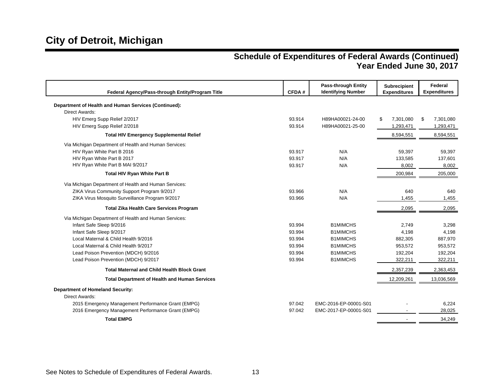| Federal Agency/Pass-through Entity/Program Title      | CFDA#  | <b>Pass-through Entity</b><br><b>Identifying Number</b> | <b>Subrecipient</b><br><b>Expenditures</b> | Federal<br><b>Expenditures</b> |
|-------------------------------------------------------|--------|---------------------------------------------------------|--------------------------------------------|--------------------------------|
| Department of Health and Human Services (Continued):  |        |                                                         |                                            |                                |
| <b>Direct Awards:</b>                                 |        |                                                         |                                            |                                |
| HIV Emerg Supp Relief 2/2017                          | 93.914 | H89HA00021-24-00                                        | 7,301,080<br>\$                            | 7,301,080<br>\$                |
| HIV Emerg Supp Relief 2/2018                          | 93.914 | H89HA00021-25-00                                        | 1,293,471                                  | 1,293,471                      |
| <b>Total HIV Emergency Supplemental Relief</b>        |        |                                                         | 8,594,551                                  | 8,594,551                      |
| Via Michigan Department of Health and Human Services: |        |                                                         |                                            |                                |
| HIV Ryan White Part B 2016                            | 93.917 | N/A                                                     | 59,397                                     | 59,397                         |
| HIV Ryan White Part B 2017                            | 93.917 | N/A                                                     | 133,585                                    | 137,601                        |
| HIV Ryan White Part B MAI 9/2017                      | 93.917 | N/A                                                     | 8,002                                      | 8,002                          |
| Total HIV Ryan White Part B                           |        |                                                         | 200,984                                    | 205,000                        |
| Via Michigan Department of Health and Human Services: |        |                                                         |                                            |                                |
| ZIKA Virus Community Support Program 9/2017           | 93.966 | N/A                                                     | 640                                        | 640                            |
| ZIKA Virus Mosquito Surveillance Program 9/2017       | 93.966 | N/A                                                     | 1,455                                      | 1,455                          |
| <b>Total Zika Health Care Services Program</b>        |        |                                                         | 2,095                                      | 2,095                          |
| Via Michigan Department of Health and Human Services: |        |                                                         |                                            |                                |
| Infant Safe Sleep 9/2016                              | 93.994 | <b>B1MIMCHS</b>                                         | 2,749                                      | 3,298                          |
| Infant Safe Sleep 9/2017                              | 93.994 | <b>B1MIMCHS</b>                                         | 4,198                                      | 4,198                          |
| Local Maternal & Child Health 9/2016                  | 93.994 | <b>B1MIMCHS</b>                                         | 882,305                                    | 887,970                        |
| Local Maternal & Child Health 9/2017                  | 93.994 | <b>B1MIMCHS</b>                                         | 953,572                                    | 953,572                        |
| Lead Poison Prevention (MDCH) 9/2016                  | 93.994 | <b>B1MIMCHS</b>                                         | 192,204                                    | 192,204                        |
| Lead Poison Prevention (MDCH) 9/2017                  | 93.994 | <b>B1MIMCHS</b>                                         | 322,211                                    | 322,211                        |
| <b>Total Maternal and Child Health Block Grant</b>    |        |                                                         | 2,357,239                                  | 2,363,453                      |
| <b>Total Department of Health and Human Services</b>  |        |                                                         | 12,209,261                                 | 13,036,569                     |
| <b>Department of Homeland Security:</b>               |        |                                                         |                                            |                                |
| <b>Direct Awards:</b>                                 |        |                                                         |                                            |                                |
| 2015 Emergency Management Performance Grant (EMPG)    | 97.042 | EMC-2016-EP-00001-S01                                   |                                            | 6,224                          |
| 2016 Emergency Management Performance Grant (EMPG)    | 97.042 | EMC-2017-EP-00001-S01                                   |                                            | 28,025                         |
| <b>Total EMPG</b>                                     |        |                                                         |                                            | 34.249                         |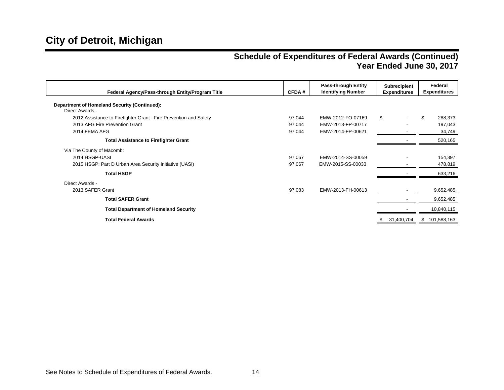| Federal Agency/Pass-through Entity/Program Title                  | <b>CFDA#</b> | <b>Pass-through Entity</b><br><b>Identifying Number</b> | <b>Subrecipient</b><br><b>Expenditures</b> | Federal<br><b>Expenditures</b> |
|-------------------------------------------------------------------|--------------|---------------------------------------------------------|--------------------------------------------|--------------------------------|
| Department of Homeland Security (Continued):<br>Direct Awards:    |              |                                                         |                                            |                                |
| 2012 Assistance to Firefighter Grant - Fire Prevention and Safety | 97.044       | EMW-2012-FO-07169                                       | \$<br>$\overline{\phantom{a}}$             | \$<br>288,373                  |
| 2013 AFG Fire Prevention Grant                                    | 97.044       | EMW-2013-FP-00717                                       | $\blacksquare$                             | 197,043                        |
| 2014 FEMA AFG                                                     | 97.044       | EMW-2014-FP-00621                                       | $\blacksquare$                             | 34,749                         |
| <b>Total Assistance to Firefighter Grant</b>                      |              |                                                         |                                            | 520,165                        |
| Via The County of Macomb:                                         |              |                                                         |                                            |                                |
| 2014 HSGP-UASI                                                    | 97.067       | EMW-2014-SS-00059                                       | $\overline{\phantom{a}}$                   | 154,397                        |
| 2015 HSGP: Part D Urban Area Security Initiative (UASI)           | 97.067       | EMW-2015-SS-00033                                       |                                            | 478,819                        |
| <b>Total HSGP</b>                                                 |              |                                                         |                                            | 633,216                        |
| Direct Awards -                                                   |              |                                                         |                                            |                                |
| 2013 SAFER Grant                                                  | 97.083       | EMW-2013-FH-00613                                       |                                            | 9,652,485                      |
| <b>Total SAFER Grant</b>                                          |              |                                                         |                                            | 9,652,485                      |
| <b>Total Department of Homeland Security</b>                      |              |                                                         |                                            | 10,840,115                     |
| <b>Total Federal Awards</b>                                       |              |                                                         | 31,400,704                                 | 101,588,163<br>S.              |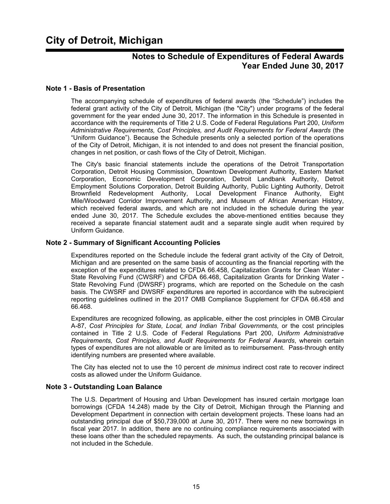### **Notes to Schedule of Expenditures of Federal Awards Year Ended June 30, 2017**

#### **Note 1 - Basis of Presentation**

The accompanying schedule of expenditures of federal awards (the "Schedule") includes the federal grant activity of the City of Detroit, Michigan (the "City") under programs of the federal government for the year ended June 30, 2017. The information in this Schedule is presented in accordance with the requirements of Title 2 U.S. Code of Federal Regulations Part 200, *Uniform Administrative Requirements, Cost Principles, and Audit Requirements for Federal Awards* (the "Uniform Guidance"). Because the Schedule presents only a selected portion of the operations of the City of Detroit, Michigan, it is not intended to and does not present the financial position, changes in net position, or cash flows of the City of Detroit, Michigan.

The City's basic financial statements include the operations of the Detroit Transportation Corporation, Detroit Housing Commission, Downtown Development Authority, Eastern Market Corporation, Economic Development Corporation, Detroit Landbank Authority, Detroit Employment Solutions Corporation, Detroit Building Authority, Public Lighting Authority, Detroit Brownfield Redevelopment Authority, Local Development Finance Authority, Eight Mile/Woodward Corridor Improvement Authority, and Museum of African American History, which received federal awards, and which are not included in the schedule during the year ended June 30, 2017. The Schedule excludes the above-mentioned entities because they received a separate financial statement audit and a separate single audit when required by Uniform Guidance.

#### **Note 2 - Summary of Significant Accounting Policies**

Expenditures reported on the Schedule include the federal grant activity of the City of Detroit, Michigan and are presented on the same basis of accounting as the financial reporting with the exception of the expenditures related to CFDA 66.458, Capitalization Grants for Clean Water - State Revolving Fund (CWSRF) and CFDA 66.468, Capitalization Grants for Drinking Water - State Revolving Fund (DWSRF) programs, which are reported on the Schedule on the cash basis. The CWSRF and DWSRF expenditures are reported in accordance with the subrecipient reporting guidelines outlined in the 2017 OMB Compliance Supplement for CFDA 66.458 and 66.468.

Expenditures are recognized following, as applicable, either the cost principles in OMB Circular A-87, *Cost Principles for State, Local, and Indian Tribal Governments,* or the cost principles contained in Title 2 U.S. Code of Federal Regulations Part 200, *Uniform Administrative Requirements, Cost Principles, and Audit Requirements for Federal Awards*, wherein certain types of expenditures are not allowable or are limited as to reimbursement. Pass-through entity identifying numbers are presented where available.

The City has elected not to use the 10 percent *de minimus* indirect cost rate to recover indirect costs as allowed under the Uniform Guidance.

#### **Note 3 - Outstanding Loan Balance**

The U.S. Department of Housing and Urban Development has insured certain mortgage loan borrowings (CFDA 14.248) made by the City of Detroit, Michigan through the Planning and Development Department in connection with certain development projects. These loans had an outstanding principal due of \$50,739,000 at June 30, 2017. There were no new borrowings in fiscal year 2017. In addition, there are no continuing compliance requirements associated with these loans other than the scheduled repayments. As such, the outstanding principal balance is not included in the Schedule.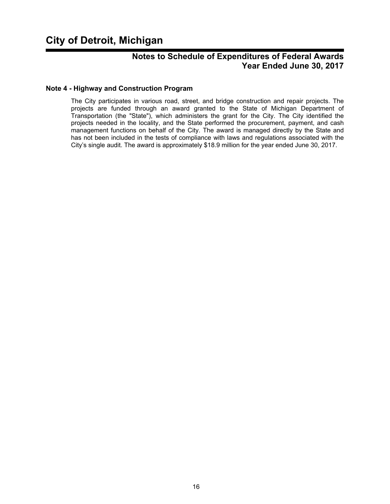### **Notes to Schedule of Expenditures of Federal Awards Year Ended June 30, 2017**

#### **Note 4 - Highway and Construction Program**

The City participates in various road, street, and bridge construction and repair projects. The projects are funded through an award granted to the State of Michigan Department of Transportation (the "State"), which administers the grant for the City. The City identified the projects needed in the locality, and the State performed the procurement, payment, and cash management functions on behalf of the City. The award is managed directly by the State and has not been included in the tests of compliance with laws and regulations associated with the City's single audit. The award is approximately \$18.9 million for the year ended June 30, 2017.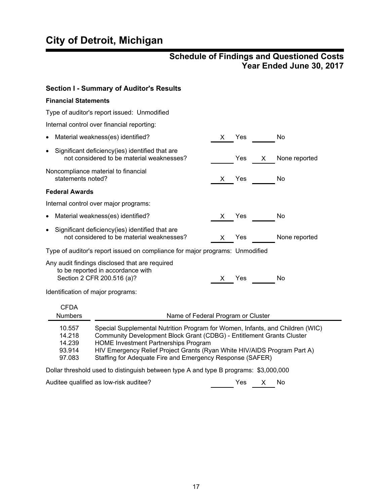### **Schedule of Findings and Questioned Costs Year Ended June 30, 2017**

## **Section I - Summary of Auditor's Results Financial Statements** Type of auditor's report issued: Unmodified Internal control over financial reporting: • Material weakness(es) identified? X Yes No Significant deficiency(ies) identified that are not considered to be material weaknesses? The More Yes X None reported Noncompliance material to financial statements noted? No and No and No and No and No and No and No and No and No and No and No and No and No and No **Federal Awards** Internal control over major programs: Material weakness(es) identified? Noting the Motor Control of American Motor Noting Motor Noting Motor Noting Mo Significant deficiency(ies) identified that are not considered to be material weaknesses? <br> X Yes None reported Type of auditor's report issued on compliance for major programs: Unmodified Any audit findings disclosed that are required to be reported in accordance with Section 2 CFR 200.516 (a)?  $\overline{X}$  Yes No Identification of major programs: CFDA Numbers Name of Federal Program or Cluster 10.557 Special Supplemental Nutrition Program for Women, Infants, and Children (WIC) 14.218 Community Development Block Grant (CDBG) - Entitlement Grants Cluster 14.239 HOME Investment Partnerships Program 93.914 HIV Emergency Relief Project Grants (Ryan White HIV/AIDS Program Part A) 97.083 Staffing for Adequate Fire and Emergency Response (SAFER)

Dollar threshold used to distinguish between type A and type B programs: \$3,000,000

Auditee qualified as low-risk auditee? All the Most Controller Most Controller Most Controller Most Controller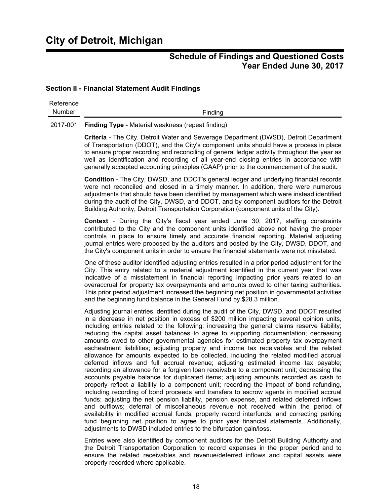### **Schedule of Findings and Questioned Costs Year Ended June 30, 2017**

#### **Section II - Financial Statement Audit Findings**

| Reference |         |
|-----------|---------|
| Number    | Finding |
|           |         |

2017-001 **Finding Type** - Material weakness (repeat finding)

**Criteria** - The City, Detroit Water and Sewerage Department (DWSD), Detroit Department of Transportation (DDOT), and the City's component units should have a process in place to ensure proper recording and reconciling of general ledger activity throughout the year as well as identification and recording of all year-end closing entries in accordance with generally accepted accounting principles (GAAP) prior to the commencement of the audit.

**Condition** - The City, DWSD, and DDOT's general ledger and underlying financial records were not reconciled and closed in a timely manner. In addition, there were numerous adjustments that should have been identified by management which were instead identified during the audit of the City, DWSD, and DDOT, and by component auditors for the Detroit Building Authority, Detroit Transportation Corporation (component units of the City).

**Context** - During the City's fiscal year ended June 30, 2017, staffing constraints contributed to the City and the component units identified above not having the proper controls in place to ensure timely and accurate financial reporting. Material adjusting journal entries were proposed by the auditors and posted by the City, DWSD, DDOT, and the City's component units in order to ensure the financial statements were not misstated.

One of these auditor identified adjusting entries resulted in a prior period adjustment for the City. This entry related to a material adjustment identified in the current year that was indicative of a misstatement in financial reporting impacting prior years related to an overaccrual for property tax overpayments and amounts owed to other taxing authorities. This prior period adjustment increased the beginning net position in governmental activities and the beginning fund balance in the General Fund by \$28.3 million.

Adjusting journal entries identified during the audit of the City, DWSD, and DDOT resulted in a decrease in net position in excess of \$200 million impacting several opinion units, including entries related to the following: increasing the general claims reserve liability; reducing the capital asset balances to agree to supporting documentation; decreasing amounts owed to other governmental agencies for estimated property tax overpayment escheatment liabilities; adjusting property and income tax receivables and the related allowance for amounts expected to be collected, including the related modified accrual deferred inflows and full accrual revenue; adjusting estimated income tax payable; recording an allowance for a forgiven loan receivable to a component unit; decreasing the accounts payable balance for duplicated items; adjusting amounts recorded as cash to properly reflect a liability to a component unit; recording the impact of bond refunding, including recording of bond proceeds and transfers to escrow agents in modified accrual funds; adjusting the net pension liability, pension expense, and related deferred inflows and outflows; deferral of miscellaneous revenue not received within the period of availability in modified accrual funds; properly record interfunds; and correcting parking fund beginning net position to agree to prior year financial statements. Additionally, adjustments to DWSD included entries to the bifurcation gain/loss.

Entries were also identified by component auditors for the Detroit Building Authority and the Detroit Transportation Corporation to record expenses in the proper period and to ensure the related receivables and revenue/deferred inflows and capital assets were properly recorded where applicable.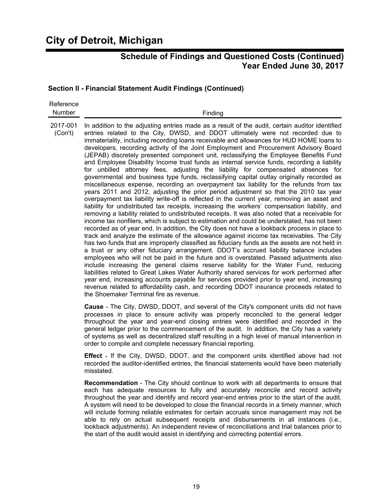### **Schedule of Findings and Questioned Costs (Continued) Year Ended June 30, 2017**

#### **Section II - Financial Statement Audit Findings (Continued)**

| Reference<br>Number | Finding                                                                                                                                                                                                                                                                                                                                                                                                                                                                                                                                                                                                                                                                                                                                                                                                                                                                                                                                                                                                                                                                                                                                                                                                                                                                                                                                                                                                                                                                                                                                                                                                                                                                                                                                                                                                                                                                                                                                                                                                                                                                                                                                                                                                                                       |
|---------------------|-----------------------------------------------------------------------------------------------------------------------------------------------------------------------------------------------------------------------------------------------------------------------------------------------------------------------------------------------------------------------------------------------------------------------------------------------------------------------------------------------------------------------------------------------------------------------------------------------------------------------------------------------------------------------------------------------------------------------------------------------------------------------------------------------------------------------------------------------------------------------------------------------------------------------------------------------------------------------------------------------------------------------------------------------------------------------------------------------------------------------------------------------------------------------------------------------------------------------------------------------------------------------------------------------------------------------------------------------------------------------------------------------------------------------------------------------------------------------------------------------------------------------------------------------------------------------------------------------------------------------------------------------------------------------------------------------------------------------------------------------------------------------------------------------------------------------------------------------------------------------------------------------------------------------------------------------------------------------------------------------------------------------------------------------------------------------------------------------------------------------------------------------------------------------------------------------------------------------------------------------|
| 2017-001<br>(Con't) | In addition to the adjusting entries made as a result of the audit, certain auditor identified<br>entries related to the City, DWSD, and DDOT ultimately were not recorded due to<br>immateriality, including recording loans receivable and allowances for HUD HOME loans to<br>developers, recording activity of the Joint Employment and Procurement Advisory Board<br>(JEPAB) discretely presented component unit, reclassifying the Employee Benefits Fund<br>and Employee Disability Income trust funds as internal service funds, recording a liability<br>for unbilled attorney fees, adjusting the liability for compensated absences for<br>governmental and business type funds, reclassifying capital outlay originally recorded as<br>miscellaneous expense, recording an overpayment tax liability for the refunds from tax<br>years 2011 and 2012, adjusting the prior period adjustment so that the 2010 tax year<br>overpayment tax liability write-off is reflected in the current year, removing an asset and<br>liability for undistributed tax receipts, increasing the workers' compensation liability, and<br>removing a liability related to undistributed receipts. It was also noted that a receivable for<br>income tax nonfilers, which is subject to estimation and could be understated, has not been<br>recorded as of year end. In addition, the City does not have a lookback process in place to<br>track and analyze the estimate of the allowance against income tax receivables. The City<br>has two funds that are improperly classified as fiduciary funds as the assets are not held in<br>a trust or any other fiduciary arrangement. DDOT's accrued liability balance includes<br>employees who will not be paid in the future and is overstated. Passed adjustments also<br>include increasing the general claims reserve liability for the Water Fund, reducing<br>liabilities related to Great Lakes Water Authority shared services for work performed after<br>year end, increasing accounts payable for services provided prior to year end, increasing<br>revenue related to affordability cash, and recording DDOT insurance proceeds related to<br>the Shoemaker Terminal fire as revenue. |

**Cause** - The City, DWSD, DDOT, and several of the City's component units did not have processes in place to ensure activity was properly reconciled to the general ledger throughout the year and year-end closing entries were identified and recorded in the general ledger prior to the commencement of the audit. In addition, the City has a variety of systems as well as decentralized staff resulting in a high level of manual intervention in order to compile and complete necessary financial reporting.

**Effect** - If the City, DWSD, DDOT, and the component units identified above had not recorded the auditor-identified entries, the financial statements would have been materially misstated.

**Recommendation** - The City should continue to work with all departments to ensure that each has adequate resources to fully and accurately reconcile and record activity throughout the year and identify and record year-end entries prior to the start of the audit. A system will need to be developed to close the financial records in a timely manner, which will include forming reliable estimates for certain accruals since management may not be able to rely on actual subsequent receipts and disbursements in all instances (i.e., lookback adjustments). An independent review of reconciliations and trial balances prior to the start of the audit would assist in identifying and correcting potential errors.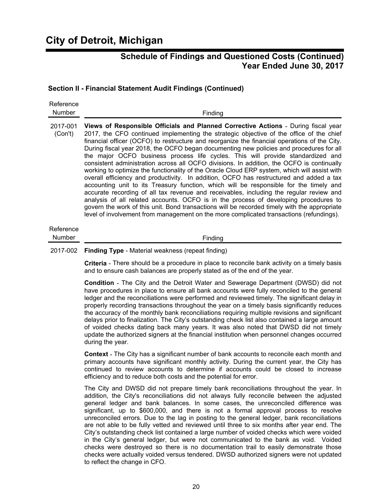### **Schedule of Findings and Questioned Costs (Continued) Year Ended June 30, 2017**

#### **Section II - Financial Statement Audit Findings (Continued)**

| Reference<br>Number | Finding                                                                                                                                                                                                                                                                                                                                                                                                                                                                                                                                                                                                                                                                                                                                                                                                                                                                                                                                                                                                                                                                                                                                                                                                                     |
|---------------------|-----------------------------------------------------------------------------------------------------------------------------------------------------------------------------------------------------------------------------------------------------------------------------------------------------------------------------------------------------------------------------------------------------------------------------------------------------------------------------------------------------------------------------------------------------------------------------------------------------------------------------------------------------------------------------------------------------------------------------------------------------------------------------------------------------------------------------------------------------------------------------------------------------------------------------------------------------------------------------------------------------------------------------------------------------------------------------------------------------------------------------------------------------------------------------------------------------------------------------|
| 2017-001<br>(Con't) | Views of Responsible Officials and Planned Corrective Actions - During fiscal year<br>2017, the CFO continued implementing the strategic objective of the office of the chief<br>financial officer (OCFO) to restructure and reorganize the financial operations of the City.<br>During fiscal year 2018, the OCFO began documenting new policies and procedures for all<br>the major OCFO business process life cycles. This will provide standardized and<br>consistent administration across all OCFO divisions. In addition, the OCFO is continually<br>working to optimize the functionality of the Oracle Cloud ERP system, which will assist with<br>overall efficiency and productivity. In addition, OCFO has restructured and added a tax<br>accounting unit to its Treasury function, which will be responsible for the timely and<br>accurate recording of all tax revenue and receivables, including the regular review and<br>analysis of all related accounts. OCFO is in the process of developing procedures to<br>govern the work of this unit. Bond transactions will be recorded timely with the appropriate<br>level of involvement from management on the more complicated transactions (refundings). |

Reference Number Finding

#### 2017-002 **Finding Type** - Material weakness (repeat finding)

**Criteria** - There should be a procedure in place to reconcile bank activity on a timely basis and to ensure cash balances are properly stated as of the end of the year.

**Condition** - The City and the Detroit Water and Sewerage Department (DWSD) did not have procedures in place to ensure all bank accounts were fully reconciled to the general ledger and the reconciliations were performed and reviewed timely. The significant delay in properly recording transactions throughout the year on a timely basis significantly reduces the accuracy of the monthly bank reconciliations requiring multiple revisions and significant delays prior to finalization. The City's outstanding check list also contained a large amount of voided checks dating back many years. It was also noted that DWSD did not timely update the authorized signers at the financial institution when personnel changes occurred during the year.

**Context** - The City has a significant number of bank accounts to reconcile each month and primary accounts have significant monthly activity. During the current year, the City has continued to review accounts to determine if accounts could be closed to increase efficiency and to reduce both costs and the potential for error.

The City and DWSD did not prepare timely bank reconciliations throughout the year. In addition, the City's reconciliations did not always fully reconcile between the adjusted general ledger and bank balances. In some cases, the unreconciled difference was significant, up to \$600,000, and there is not a formal approval process to resolve unreconciled errors. Due to the lag in posting to the general ledger, bank reconciliations are not able to be fully vetted and reviewed until three to six months after year end. The City's outstanding check list contained a large number of voided checks which were voided in the City's general ledger, but were not communicated to the bank as void. Voided checks were destroyed so there is no documentation trail to easily demonstrate those checks were actually voided versus tendered. DWSD authorized signers were not updated to reflect the change in CFO.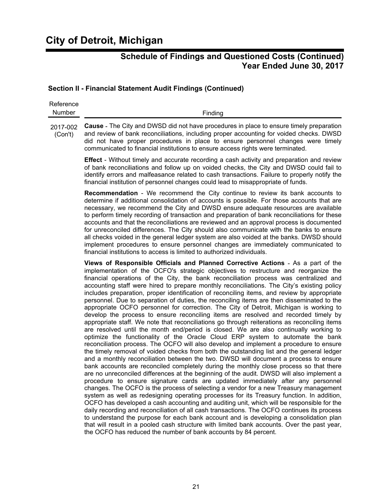### **Schedule of Findings and Questioned Costs (Continued) Year Ended June 30, 2017**

#### **Section II - Financial Statement Audit Findings (Continued)**

| Reference<br><b>Number</b> | Finding                                                                                                                                                                                                                                                                                                                                                                          |
|----------------------------|----------------------------------------------------------------------------------------------------------------------------------------------------------------------------------------------------------------------------------------------------------------------------------------------------------------------------------------------------------------------------------|
| 2017-002<br>(Con't)        | <b>Cause</b> - The City and DWSD did not have procedures in place to ensure timely preparation<br>and review of bank reconciliations, including proper accounting for voided checks. DWSD<br>did not have proper procedures in place to ensure personnel changes were timely<br>communicated to financial institutions to ensure access rights were terminated.                  |
|                            | <b>Effect</b> - Without timely and accurate recording a cash activity and preparation and review<br>of bank reconciliations and follow up on voided checks, the City and DWSD could fail to<br>identify errors and malfeasance related to cash transactions. Failure to properly notify the<br>financial institution of personnel changes could lead to misappropriate of funds. |
|                            | <b>Recommendation</b> - We recommend the City continue to review its bank accounts to<br>determine if additional consolidation of accounts is possible. For those accounts that are<br>necessary, we recommend the City and DWSD ensure adequate resources are available                                                                                                         |

we recommend the City and DWSD ensure adequate resources are available to perform timely recording of transaction and preparation of bank reconciliations for these accounts and that the reconciliations are reviewed and an approval process is documented for unreconciled differences. The City should also communicate with the banks to ensure all checks voided in the general ledger system are also voided at the banks. DWSD should implement procedures to ensure personnel changes are immediately communicated to financial institutions to access is limited to authorized individuals.

**Views of Responsible Officials and Planned Corrective Actions** - As a part of the implementation of the OCFO's strategic objectives to restructure and reorganize the financial operations of the City, the bank reconciliation process was centralized and accounting staff were hired to prepare monthly reconciliations. The City's existing policy includes preparation, proper identification of reconciling items, and review by appropriate personnel. Due to separation of duties, the reconciling items are then disseminated to the appropriate OCFO personnel for correction. The City of Detroit, Michigan is working to develop the process to ensure reconciling items are resolved and recorded timely by appropriate staff. We note that reconciliations go through reiterations as reconciling items are resolved until the month end/period is closed. We are also continually working to optimize the functionality of the Oracle Cloud ERP system to automate the bank reconciliation process. The OCFO will also develop and implement a procedure to ensure the timely removal of voided checks from both the outstanding list and the general ledger and a monthly reconciliation between the two. DWSD will document a process to ensure bank accounts are reconciled completely during the monthly close process so that there are no unreconciled differences at the beginning of the audit. DWSD will also implement a procedure to ensure signature cards are updated immediately after any personnel changes. The OCFO is the process of selecting a vendor for a new Treasury management system as well as redesigning operating processes for its Treasury function. In addition, OCFO has developed a cash accounting and auditing unit, which will be responsible for the daily recording and reconciliation of all cash transactions. The OCFO continues its process to understand the purpose for each bank account and is developing a consolidation plan that will result in a pooled cash structure with limited bank accounts. Over the past year, the OCFO has reduced the number of bank accounts by 84 percent.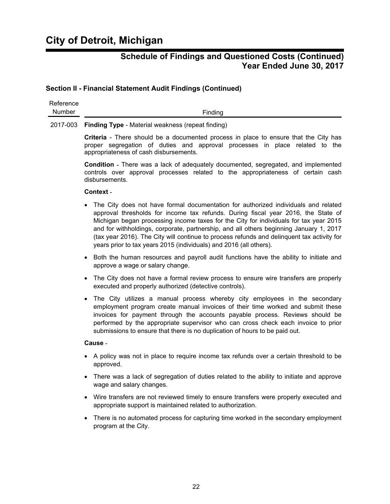## **Schedule of Findings and Questioned Costs (Continued) Year Ended June 30, 2017**

#### **Section II - Financial Statement Audit Findings (Continued)**

| Reference     |            |
|---------------|------------|
| <b>Number</b> | $r$ inding |
|               |            |

2017-003 **Finding Type** - Material weakness (repeat finding)

**Criteria** - There should be a documented process in place to ensure that the City has proper segregation of duties and approval processes in place related to the appropriateness of cash disbursements.

**Condition** - There was a lack of adequately documented, segregated, and implemented controls over approval processes related to the appropriateness of certain cash disbursements.

#### **Context** -

- The City does not have formal documentation for authorized individuals and related approval thresholds for income tax refunds. During fiscal year 2016, the State of Michigan began processing income taxes for the City for individuals for tax year 2015 and for withholdings, corporate, partnership, and all others beginning January 1, 2017 (tax year 2016). The City will continue to process refunds and delinquent tax activity for years prior to tax years 2015 (individuals) and 2016 (all others).
- Both the human resources and payroll audit functions have the ability to initiate and approve a wage or salary change.
- The City does not have a formal review process to ensure wire transfers are properly executed and properly authorized (detective controls).
- The City utilizes a manual process whereby city employees in the secondary employment program create manual invoices of their time worked and submit these invoices for payment through the accounts payable process. Reviews should be performed by the appropriate supervisor who can cross check each invoice to prior submissions to ensure that there is no duplication of hours to be paid out.

#### **Cause** -

- A policy was not in place to require income tax refunds over a certain threshold to be approved.
- There was a lack of segregation of duties related to the ability to initiate and approve wage and salary changes.
- Wire transfers are not reviewed timely to ensure transfers were properly executed and appropriate support is maintained related to authorization.
- There is no automated process for capturing time worked in the secondary employment program at the City.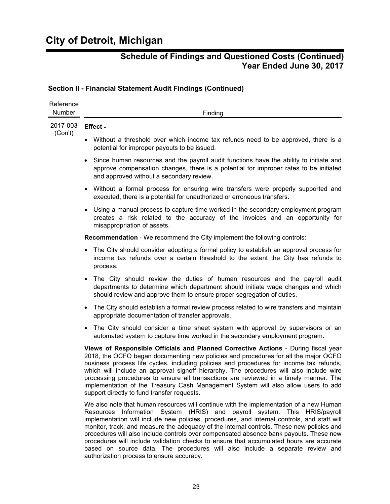## **Schedule of Findings and Questioned Costs (Continued) Year Ended June 30, 2017**

#### **Section II - Financial Statement Audit Findings (Continued)**

| Reference<br>Number | Finding                                                                                                                                                                                                                                                                                                                                                                                                                                                                                                                                                                                       |
|---------------------|-----------------------------------------------------------------------------------------------------------------------------------------------------------------------------------------------------------------------------------------------------------------------------------------------------------------------------------------------------------------------------------------------------------------------------------------------------------------------------------------------------------------------------------------------------------------------------------------------|
| 2017-003            | Effect -                                                                                                                                                                                                                                                                                                                                                                                                                                                                                                                                                                                      |
| (Con't)             | Without a threshold over which income tax refunds need to be approved, there is a<br>potential for improper payouts to be issued.                                                                                                                                                                                                                                                                                                                                                                                                                                                             |
|                     | Since human resources and the payroll audit functions have the ability to initiate and<br>approve compensation changes, there is a potential for improper rates to be initiated<br>and approved without a secondary review.                                                                                                                                                                                                                                                                                                                                                                   |
|                     | • Without a formal process for ensuring wire transfers were properly supported and<br>executed, there is a potential for unauthorized or erroneous transfers.                                                                                                                                                                                                                                                                                                                                                                                                                                 |
|                     | Using a manual process to capture time worked in the secondary employment program<br>creates a risk related to the accuracy of the invoices and an opportunity for<br>misappropriation of assets.                                                                                                                                                                                                                                                                                                                                                                                             |
|                     | Recommendation - We recommend the City implement the following controls:                                                                                                                                                                                                                                                                                                                                                                                                                                                                                                                      |
|                     | The City should consider adopting a formal policy to establish an approval process for<br>income tax refunds over a certain threshold to the extent the City has refunds to<br>process.                                                                                                                                                                                                                                                                                                                                                                                                       |
|                     | The City should review the duties of human resources and the payroll audit<br>departments to determine which department should initiate wage changes and which<br>should review and approve them to ensure proper segregation of duties.                                                                                                                                                                                                                                                                                                                                                      |
|                     | The City should establish a formal review process related to wire transfers and maintain<br>appropriate documentation of transfer approvals.                                                                                                                                                                                                                                                                                                                                                                                                                                                  |
|                     | The City should consider a time sheet system with approval by supervisors or an<br>automated system to capture time worked in the secondary employment program.                                                                                                                                                                                                                                                                                                                                                                                                                               |
|                     | Views of Responsible Officials and Planned Corrective Actions - During fiscal year<br>2018, the OCFO began documenting new policies and procedures for all the major OCFO<br>business process life cycles, including policies and procedures for income tax refunds,<br>which will include an approval signoff hierarchy. The procedures will also include wire<br>processing procedures to ensure all transactions are reviewed in a timely manner. The<br>implementation of the Treasury Cash Management System will also allow users to add<br>support directly to fund transfer requests. |
|                     | We also note that human resources will continue with the implementation of a new Human<br>System (HRIS) and payroll system.<br>Information<br>Resources<br>This HRIS/payroll<br>implementation will include new policies, procedures, and internal controls, and staff will<br>monitor, track, and measure the adequacy of the internal controls. These new policies and<br>. 1. . 1. . 1.                                                                                                                                                                                                    |

procedures will also include controls over compensated absence bank payouts. These new procedures will include validation checks to ensure that accumulated hours are accurate based on source data. The procedures will also include a separate review and authorization process to ensure accuracy.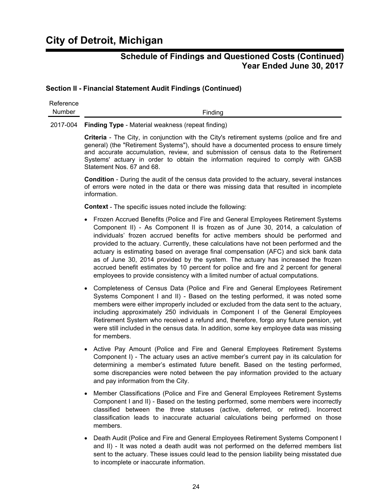## **Schedule of Findings and Questioned Costs (Continued) Year Ended June 30, 2017**

#### **Section II - Financial Statement Audit Findings (Continued)**

| Reference |                |
|-----------|----------------|
| Number    | <b>Findina</b> |
|           |                |

2017-004 **Finding Type** - Material weakness (repeat finding)

**Criteria** - The City, in conjunction with the City's retirement systems (police and fire and general) (the "Retirement Systems"), should have a documented process to ensure timely and accurate accumulation, review, and submission of census data to the Retirement Systems' actuary in order to obtain the information required to comply with GASB Statement Nos. 67 and 68.

**Condition** - During the audit of the census data provided to the actuary, several instances of errors were noted in the data or there was missing data that resulted in incomplete information.

**Context** - The specific issues noted include the following:

- Frozen Accrued Benefits (Police and Fire and General Employees Retirement Systems Component II) - As Component II is frozen as of June 30, 2014, a calculation of individuals' frozen accrued benefits for active members should be performed and provided to the actuary. Currently, these calculations have not been performed and the actuary is estimating based on average final compensation (AFC) and sick bank data as of June 30, 2014 provided by the system. The actuary has increased the frozen accrued benefit estimates by 10 percent for police and fire and 2 percent for general employees to provide consistency with a limited number of actual computations.
- Completeness of Census Data (Police and Fire and General Employees Retirement Systems Component I and II) - Based on the testing performed, it was noted some members were either improperly included or excluded from the data sent to the actuary, including approximately 250 individuals in Component I of the General Employees Retirement System who received a refund and, therefore, forgo any future pension, yet were still included in the census data. In addition, some key employee data was missing for members.
- Active Pay Amount (Police and Fire and General Employees Retirement Systems Component I) - The actuary uses an active member's current pay in its calculation for determining a member's estimated future benefit. Based on the testing performed, some discrepancies were noted between the pay information provided to the actuary and pay information from the City.
- Member Classifications (Police and Fire and General Employees Retirement Systems Component I and II) - Based on the testing performed, some members were incorrectly classified between the three statuses (active, deferred, or retired). Incorrect classification leads to inaccurate actuarial calculations being performed on those members.
- Death Audit (Police and Fire and General Employees Retirement Systems Component I and II) - It was noted a death audit was not performed on the deferred members list sent to the actuary. These issues could lead to the pension liability being misstated due to incomplete or inaccurate information.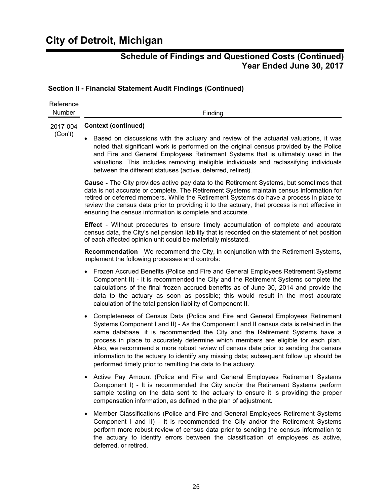## **Schedule of Findings and Questioned Costs (Continued) Year Ended June 30, 2017**

#### **Section II - Financial Statement Audit Findings (Continued)**

| Reference<br>Number | Finding                                                                                                                                                                                                                                                                                                                                                                                                                                                                                                                                                                                                    |
|---------------------|------------------------------------------------------------------------------------------------------------------------------------------------------------------------------------------------------------------------------------------------------------------------------------------------------------------------------------------------------------------------------------------------------------------------------------------------------------------------------------------------------------------------------------------------------------------------------------------------------------|
| 2017-004<br>(Con't) | <b>Context (continued) -</b>                                                                                                                                                                                                                                                                                                                                                                                                                                                                                                                                                                               |
|                     | Based on discussions with the actuary and review of the actuarial valuations, it was<br>noted that significant work is performed on the original census provided by the Police<br>and Fire and General Employees Retirement Systems that is ultimately used in the<br>valuations. This includes removing ineligible individuals and reclassifying individuals<br>between the different statuses (active, deferred, retired).                                                                                                                                                                               |
|                     | <b>Cause</b> - The City provides active pay data to the Retirement Systems, but sometimes that<br>data is not accurate or complete. The Retirement Systems maintain census information for<br>retired or deferred members. While the Retirement Systems do have a process in place to<br>review the census data prior to providing it to the actuary, that process is not effective in<br>ensuring the census information is complete and accurate.                                                                                                                                                        |
|                     | <b>Effect</b> - Without procedures to ensure timely accumulation of complete and accurate<br>census data, the City's net pension liability that is recorded on the statement of net position<br>of each affected opinion unit could be materially misstated.                                                                                                                                                                                                                                                                                                                                               |
|                     | Recommendation - We recommend the City, in conjunction with the Retirement Systems,<br>implement the following processes and controls:                                                                                                                                                                                                                                                                                                                                                                                                                                                                     |
|                     | Frozen Accrued Benefits (Police and Fire and General Employees Retirement Systems<br>Component II) - It is recommended the City and the Retirement Systems complete the<br>calculations of the final frozen accrued benefits as of June 30, 2014 and provide the<br>data to the actuary as soon as possible; this would result in the most accurate<br>calculation of the total pension liability of Component II.                                                                                                                                                                                         |
|                     | Completeness of Census Data (Police and Fire and General Employees Retirement<br>$\bullet$<br>Systems Component I and II) - As the Component I and II census data is retained in the<br>same database, it is recommended the City and the Retirement Systems have a<br>process in place to accurately determine which members are eligible for each plan.<br>Also, we recommend a more robust review of census data prior to sending the census<br>information to the actuary to identify any missing data; subsequent follow up should be<br>performed timely prior to remitting the data to the actuary. |
|                     | Active Pay Amount (Police and Fire and General Employees Retirement Systems<br>Component I) - It is recommended the City and/or the Retirement Systems perform<br>sample testing on the data sent to the actuary to ensure it is providing the proper<br>compensation information, as defined in the plan of adjustment.                                                                                                                                                                                                                                                                                   |
|                     | Momber Classifications (Police and Fire and Coneral Employees Poticoment Systems)                                                                                                                                                                                                                                                                                                                                                                                                                                                                                                                          |

 Member Classifications (Police and Fire and General Employees Retirement Systems Component I and II) - It is recommended the City and/or the Retirement Systems perform more robust review of census data prior to sending the census information to the actuary to identify errors between the classification of employees as active, deferred, or retired.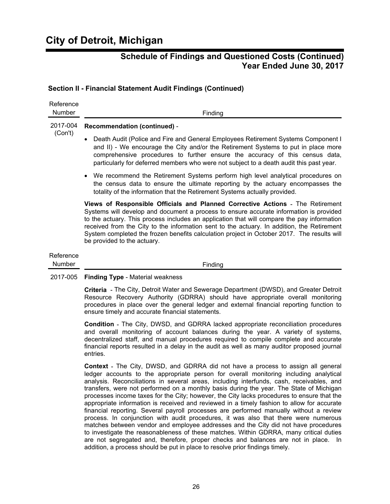### **Schedule of Findings and Questioned Costs (Continued) Year Ended June 30, 2017**

#### **Section II - Financial Statement Audit Findings (Continued)**

| Reference<br><b>Number</b> | Finding                                                                                                                                                                                                                                                                                                                                                                                                                                                                                           |
|----------------------------|---------------------------------------------------------------------------------------------------------------------------------------------------------------------------------------------------------------------------------------------------------------------------------------------------------------------------------------------------------------------------------------------------------------------------------------------------------------------------------------------------|
| 2017-004<br>(Con't)        | <b>Recommendation (continued) -</b>                                                                                                                                                                                                                                                                                                                                                                                                                                                               |
|                            | Death Audit (Police and Fire and General Employees Retirement Systems Component I<br>$\bullet$<br>and II) - We encourage the City and/or the Retirement Systems to put in place more<br>comprehensive procedures to further ensure the accuracy of this census data,<br>particularly for deferred members who were not subject to a death audit this past year.                                                                                                                                   |
|                            | • We recommend the Retirement Systems perform high level analytical procedures on<br>the census data to ensure the ultimate reporting by the actuary encompasses the<br>totality of the information that the Retirement Systems actually provided.                                                                                                                                                                                                                                                |
|                            | Views of Responsible Officials and Planned Corrective Actions - The Retirement<br>Systems will develop and document a process to ensure accurate information is provided<br>to the actuary. This process includes an application that will compare the pay information<br>received from the City to the information sent to the actuary. In addition, the Retirement<br>System completed the frozen benefits calculation project in October 2017. The results will<br>be provided to the actuary. |
| Reference<br>Number        | Finding                                                                                                                                                                                                                                                                                                                                                                                                                                                                                           |

#### 2017-005 **Finding Type** - Material weakness

**Criteria** - The City, Detroit Water and Sewerage Department (DWSD), and Greater Detroit Resource Recovery Authority (GDRRA) should have appropriate overall monitoring procedures in place over the general ledger and external financial reporting function to ensure timely and accurate financial statements.

**Condition** - The City, DWSD, and GDRRA lacked appropriate reconciliation procedures and overall monitoring of account balances during the year. A variety of systems, decentralized staff, and manual procedures required to compile complete and accurate financial reports resulted in a delay in the audit as well as many auditor proposed journal entries.

**Context** - The City, DWSD, and GDRRA did not have a process to assign all general ledger accounts to the appropriate person for overall monitoring including analytical analysis. Reconciliations in several areas, including interfunds, cash, receivables, and transfers, were not performed on a monthly basis during the year. The State of Michigan processes income taxes for the City; however, the City lacks procedures to ensure that the appropriate information is received and reviewed in a timely fashion to allow for accurate financial reporting. Several payroll processes are performed manually without a review process. In conjunction with audit procedures, it was also that there were numerous matches between vendor and employee addresses and the City did not have procedures to investigate the reasonableness of these matches. Within GDRRA, many critical duties are not segregated and, therefore, proper checks and balances are not in place. In addition, a process should be put in place to resolve prior findings timely.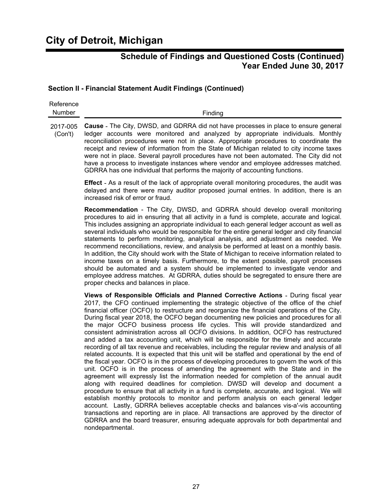### **Schedule of Findings and Questioned Costs (Continued) Year Ended June 30, 2017**

#### **Section II - Financial Statement Audit Findings (Continued)**

| Reference<br>Number | Finding                                                                                                                                                                                                                                                                                                                                                                                                                                                                                                                                                                                                                                |
|---------------------|----------------------------------------------------------------------------------------------------------------------------------------------------------------------------------------------------------------------------------------------------------------------------------------------------------------------------------------------------------------------------------------------------------------------------------------------------------------------------------------------------------------------------------------------------------------------------------------------------------------------------------------|
| 2017-005<br>(Con't) | <b>Cause</b> - The City, DWSD, and GDRRA did not have processes in place to ensure general<br>ledger accounts were monitored and analyzed by appropriate individuals. Monthly<br>reconciliation procedures were not in place. Appropriate procedures to coordinate the<br>receipt and review of information from the State of Michigan related to city income taxes<br>were not in place. Several payroll procedures have not been automated. The City did not<br>have a process to investigate instances where vendor and employee addresses matched.<br>GDRRA has one individual that performs the majority of accounting functions. |

**Effect** - As a result of the lack of appropriate overall monitoring procedures, the audit was delayed and there were many auditor proposed journal entries. In addition, there is an increased risk of error or fraud.

**Recommendation** - The City, DWSD, and GDRRA should develop overall monitoring procedures to aid in ensuring that all activity in a fund is complete, accurate and logical. This includes assigning an appropriate individual to each general ledger account as well as several individuals who would be responsible for the entire general ledger and city financial statements to perform monitoring, analytical analysis, and adjustment as needed. We recommend reconciliations, review, and analysis be performed at least on a monthly basis. In addition, the City should work with the State of Michigan to receive information related to income taxes on a timely basis. Furthermore, to the extent possible, payroll processes should be automated and a system should be implemented to investigate vendor and employee address matches. At GDRRA, duties should be segregated to ensure there are proper checks and balances in place.

**Views of Responsible Officials and Planned Corrective Actions** - During fiscal year 2017, the CFO continued implementing the strategic objective of the office of the chief financial officer (OCFO) to restructure and reorganize the financial operations of the City. During fiscal year 2018, the OCFO began documenting new policies and procedures for all the major OCFO business process life cycles. This will provide standardized and consistent administration across all OCFO divisions. In addition, OCFO has restructured and added a tax accounting unit, which will be responsible for the timely and accurate recording of all tax revenue and receivables, including the regular review and analysis of all related accounts. It is expected that this unit will be staffed and operational by the end of the fiscal year. OCFO is in the process of developing procedures to govern the work of this unit. OCFO is in the process of amending the agreement with the State and in the agreement will expressly list the information needed for completion of the annual audit along with required deadlines for completion. DWSD will develop and document a procedure to ensure that all activity in a fund is complete, accurate, and logical. We will establish monthly protocols to monitor and perform analysis on each general ledger account. Lastly, GDRRA believes acceptable checks and balances vis-a'-vis accounting transactions and reporting are in place. All transactions are approved by the director of GDRRA and the board treasurer, ensuring adequate approvals for both departmental and nondepartmental.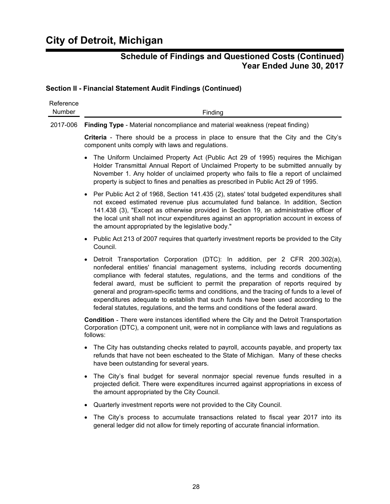## **Schedule of Findings and Questioned Costs (Continued) Year Ended June 30, 2017**

### **Section II - Financial Statement Audit Findings (Continued)**

| Reference<br>Number | Finding                                                                                                                                                                                                                                                                                                                                                                                                                                                                                                                                                                                                              |
|---------------------|----------------------------------------------------------------------------------------------------------------------------------------------------------------------------------------------------------------------------------------------------------------------------------------------------------------------------------------------------------------------------------------------------------------------------------------------------------------------------------------------------------------------------------------------------------------------------------------------------------------------|
| 2017-006            | Finding Type - Material noncompliance and material weakness (repeat finding)                                                                                                                                                                                                                                                                                                                                                                                                                                                                                                                                         |
|                     | Criteria - There should be a process in place to ensure that the City and the City's<br>component units comply with laws and regulations.                                                                                                                                                                                                                                                                                                                                                                                                                                                                            |
|                     | The Uniform Unclaimed Property Act (Public Act 29 of 1995) requires the Michigan<br>Holder Transmittal Annual Report of Unclaimed Property to be submitted annually by<br>November 1. Any holder of unclaimed property who fails to file a report of unclaimed<br>property is subject to fines and penalties as prescribed in Public Act 29 of 1995.                                                                                                                                                                                                                                                                 |
|                     | Per Public Act 2 of 1968, Section 141.435 (2), states' total budgeted expenditures shall<br>$\bullet$<br>not exceed estimated revenue plus accumulated fund balance. In addition, Section<br>141.438 (3), "Except as otherwise provided in Section 19, an administrative officer of<br>the local unit shall not incur expenditures against an appropriation account in excess of<br>the amount appropriated by the legislative body."                                                                                                                                                                                |
|                     | Public Act 213 of 2007 requires that quarterly investment reports be provided to the City<br>$\bullet$<br>Council.                                                                                                                                                                                                                                                                                                                                                                                                                                                                                                   |
|                     | Detroit Transportation Corporation (DTC): In addition, per 2 CFR 200.302(a),<br>nonfederal entities' financial management systems, including records documenting<br>compliance with federal statutes, regulations, and the terms and conditions of the<br>federal award, must be sufficient to permit the preparation of reports required by<br>general and program-specific terms and conditions, and the tracing of funds to a level of<br>expenditures adequate to establish that such funds have been used according to the<br>federal statutes, regulations, and the terms and conditions of the federal award. |
|                     | Condition - There were instances identified where the City and the Detroit Transportation<br>Corporation (DTC), a component unit, were not in compliance with laws and regulations as<br>follows:                                                                                                                                                                                                                                                                                                                                                                                                                    |
|                     | The City has outstanding checks related to payroll, accounts payable, and property tax<br>refunds that have not been escheated to the State of Michigan. Many of these checks<br>have been outstanding for several years.                                                                                                                                                                                                                                                                                                                                                                                            |
|                     | The City's final budget for several nonmajor special revenue funds resulted in a<br>projected deficit. There were expenditures incurred against appropriations in excess of<br>the amount appropriated by the City Council.                                                                                                                                                                                                                                                                                                                                                                                          |
|                     | Quarterly investment reports were not provided to the City Council.                                                                                                                                                                                                                                                                                                                                                                                                                                                                                                                                                  |
|                     | The City's process to accumulate transactions related to fiscal year 2017 into its<br>general ledger did not allow for timely reporting of accurate financial information.                                                                                                                                                                                                                                                                                                                                                                                                                                           |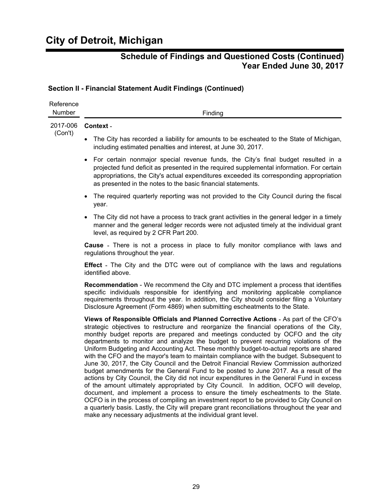## **Schedule of Findings and Questioned Costs (Continued) Year Ended June 30, 2017**

### **Section II - Financial Statement Audit Findings (Continued)**

| Reference<br>Number | Finding                                                                                                                                                                                                                                                                                                                                                                                                                                                                                                                                                                                                                                                                                                                                                                                                                                                                                                                                                                                                                                                                                                                                                                                                                                                                           |
|---------------------|-----------------------------------------------------------------------------------------------------------------------------------------------------------------------------------------------------------------------------------------------------------------------------------------------------------------------------------------------------------------------------------------------------------------------------------------------------------------------------------------------------------------------------------------------------------------------------------------------------------------------------------------------------------------------------------------------------------------------------------------------------------------------------------------------------------------------------------------------------------------------------------------------------------------------------------------------------------------------------------------------------------------------------------------------------------------------------------------------------------------------------------------------------------------------------------------------------------------------------------------------------------------------------------|
| 2017-006<br>(Con't) | Context -                                                                                                                                                                                                                                                                                                                                                                                                                                                                                                                                                                                                                                                                                                                                                                                                                                                                                                                                                                                                                                                                                                                                                                                                                                                                         |
|                     | The City has recorded a liability for amounts to be escheated to the State of Michigan,<br>including estimated penalties and interest, at June 30, 2017.                                                                                                                                                                                                                                                                                                                                                                                                                                                                                                                                                                                                                                                                                                                                                                                                                                                                                                                                                                                                                                                                                                                          |
|                     | For certain nonmajor special revenue funds, the City's final budget resulted in a<br>projected fund deficit as presented in the required supplemental information. For certain<br>appropriations, the City's actual expenditures exceeded its corresponding appropriation<br>as presented in the notes to the basic financial statements.                                                                                                                                                                                                                                                                                                                                                                                                                                                                                                                                                                                                                                                                                                                                                                                                                                                                                                                                         |
|                     | The required quarterly reporting was not provided to the City Council during the fiscal<br>year.                                                                                                                                                                                                                                                                                                                                                                                                                                                                                                                                                                                                                                                                                                                                                                                                                                                                                                                                                                                                                                                                                                                                                                                  |
|                     | The City did not have a process to track grant activities in the general ledger in a timely<br>manner and the general ledger records were not adjusted timely at the individual grant<br>level, as required by 2 CFR Part 200.                                                                                                                                                                                                                                                                                                                                                                                                                                                                                                                                                                                                                                                                                                                                                                                                                                                                                                                                                                                                                                                    |
|                     | <b>Cause</b> - There is not a process in place to fully monitor compliance with laws and<br>regulations throughout the year.                                                                                                                                                                                                                                                                                                                                                                                                                                                                                                                                                                                                                                                                                                                                                                                                                                                                                                                                                                                                                                                                                                                                                      |
|                     | <b>Effect</b> - The City and the DTC were out of compliance with the laws and regulations<br>identified above.                                                                                                                                                                                                                                                                                                                                                                                                                                                                                                                                                                                                                                                                                                                                                                                                                                                                                                                                                                                                                                                                                                                                                                    |
|                     | <b>Recommendation</b> - We recommend the City and DTC implement a process that identifies<br>specific individuals responsible for identifying and monitoring applicable compliance<br>requirements throughout the year. In addition, the City should consider filing a Voluntary<br>Disclosure Agreement (Form 4869) when submitting escheatments to the State.                                                                                                                                                                                                                                                                                                                                                                                                                                                                                                                                                                                                                                                                                                                                                                                                                                                                                                                   |
|                     | Views of Responsible Officials and Planned Corrective Actions - As part of the CFO's<br>strategic objectives to restructure and reorganize the financial operations of the City,<br>monthly budget reports are prepared and meetings conducted by OCFO and the city<br>departments to monitor and analyze the budget to prevent recurring violations of the<br>Uniform Budgeting and Accounting Act. These monthly budget-to-actual reports are shared<br>with the CFO and the mayor's team to maintain compliance with the budget. Subsequent to<br>June 30, 2017, the City Council and the Detroit Financial Review Commission authorized<br>budget amendments for the General Fund to be posted to June 2017. As a result of the<br>actions by City Council, the City did not incur expenditures in the General Fund in excess<br>of the amount ultimately appropriated by City Council. In addition, OCFO will develop,<br>document, and implement a process to ensure the timely escheatments to the State.<br>OCFO is in the process of compiling an investment report to be provided to City Council on<br>a quarterly basis. Lastly, the City will prepare grant reconciliations throughout the year and<br>make any necessary adjustments at the individual grant level. |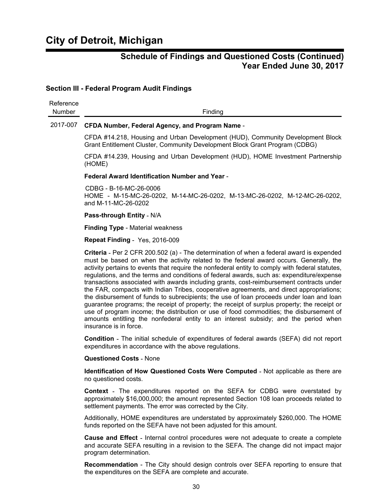## **Schedule of Findings and Questioned Costs (Continued) Year Ended June 30, 2017**

#### **Section III - Federal Program Audit Findings**

| Reference<br><b>Number</b> | Finding                                                                                                                                                                                                                                                                                                                                                                                                                                                                                                                                                                                                                                                                                                                                                                                                                                                                                                                                                                            |
|----------------------------|------------------------------------------------------------------------------------------------------------------------------------------------------------------------------------------------------------------------------------------------------------------------------------------------------------------------------------------------------------------------------------------------------------------------------------------------------------------------------------------------------------------------------------------------------------------------------------------------------------------------------------------------------------------------------------------------------------------------------------------------------------------------------------------------------------------------------------------------------------------------------------------------------------------------------------------------------------------------------------|
| 2017-007                   | <b>CFDA Number, Federal Agency, and Program Name -</b>                                                                                                                                                                                                                                                                                                                                                                                                                                                                                                                                                                                                                                                                                                                                                                                                                                                                                                                             |
|                            | CFDA #14.218, Housing and Urban Development (HUD), Community Development Block<br>Grant Entitlement Cluster, Community Development Block Grant Program (CDBG)                                                                                                                                                                                                                                                                                                                                                                                                                                                                                                                                                                                                                                                                                                                                                                                                                      |
|                            | CFDA #14.239, Housing and Urban Development (HUD), HOME Investment Partnership<br>(HOME)                                                                                                                                                                                                                                                                                                                                                                                                                                                                                                                                                                                                                                                                                                                                                                                                                                                                                           |
|                            | <b>Federal Award Identification Number and Year -</b>                                                                                                                                                                                                                                                                                                                                                                                                                                                                                                                                                                                                                                                                                                                                                                                                                                                                                                                              |
|                            | CDBG - B-16-MC-26-0006<br>HOME - M-15-MC-26-0202, M-14-MC-26-0202, M-13-MC-26-0202, M-12-MC-26-0202,<br>and M-11-MC-26-0202                                                                                                                                                                                                                                                                                                                                                                                                                                                                                                                                                                                                                                                                                                                                                                                                                                                        |
|                            | Pass-through Entity - N/A                                                                                                                                                                                                                                                                                                                                                                                                                                                                                                                                                                                                                                                                                                                                                                                                                                                                                                                                                          |
|                            | <b>Finding Type - Material weakness</b>                                                                                                                                                                                                                                                                                                                                                                                                                                                                                                                                                                                                                                                                                                                                                                                                                                                                                                                                            |
|                            | Repeat Finding - Yes, 2016-009                                                                                                                                                                                                                                                                                                                                                                                                                                                                                                                                                                                                                                                                                                                                                                                                                                                                                                                                                     |
|                            | Criteria - Per 2 CFR 200.502 (a) - The determination of when a federal award is expended<br>must be based on when the activity related to the federal award occurs. Generally, the<br>activity pertains to events that require the nonfederal entity to comply with federal statutes,<br>regulations, and the terms and conditions of federal awards, such as: expenditure/expense<br>transactions associated with awards including grants, cost-reimbursement contracts under<br>the FAR, compacts with Indian Tribes, cooperative agreements, and direct appropriations;<br>the disbursement of funds to subrecipients; the use of loan proceeds under loan and loan<br>guarantee programs; the receipt of property; the receipt of surplus property; the receipt or<br>use of program income; the distribution or use of food commodities; the disbursement of<br>amounts entitling the nonfederal entity to an interest subsidy; and the period when<br>insurance is in force. |
|                            | Condition - The initial schedule of expenditures of federal awards (SEFA) did not report<br>expenditures in accordance with the above regulations.                                                                                                                                                                                                                                                                                                                                                                                                                                                                                                                                                                                                                                                                                                                                                                                                                                 |
|                            | <b>Questioned Costs - None</b>                                                                                                                                                                                                                                                                                                                                                                                                                                                                                                                                                                                                                                                                                                                                                                                                                                                                                                                                                     |
|                            | Identification of How Questioned Costs Were Computed - Not applicable as there are<br>no questioned costs.                                                                                                                                                                                                                                                                                                                                                                                                                                                                                                                                                                                                                                                                                                                                                                                                                                                                         |
|                            | <b>Context</b> - The expenditures reported on the SEFA for CDBG were overstated by<br>approximately \$16,000,000; the amount represented Section 108 loan proceeds related to<br>settlement payments. The error was corrected by the City.                                                                                                                                                                                                                                                                                                                                                                                                                                                                                                                                                                                                                                                                                                                                         |
|                            | Additionally, HOME expenditures are understated by approximately \$260,000. The HOME                                                                                                                                                                                                                                                                                                                                                                                                                                                                                                                                                                                                                                                                                                                                                                                                                                                                                               |

**Cause and Effect** - Internal control procedures were not adequate to create a complete and accurate SEFA resulting in a revision to the SEFA. The change did not impact major program determination.

**Recommendation** - The City should design controls over SEFA reporting to ensure that the expenditures on the SEFA are complete and accurate.

funds reported on the SEFA have not been adjusted for this amount.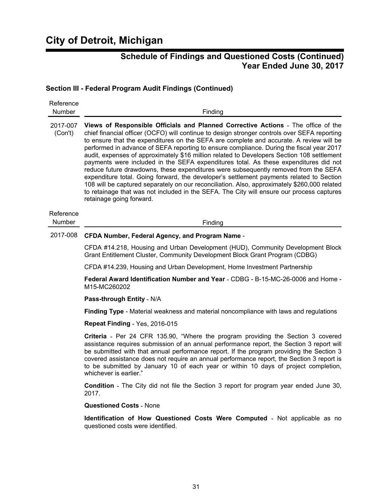## **Schedule of Findings and Questioned Costs (Continued) Year Ended June 30, 2017**

### **Section III - Federal Program Audit Findings (Continued)**

| Reference<br>Number | Finding                                                                                                                                                                                                                                                                                                                                                                                                                                                                                                                                                                                                                                                                                                                                                                                                                                                                                                                                                                    |
|---------------------|----------------------------------------------------------------------------------------------------------------------------------------------------------------------------------------------------------------------------------------------------------------------------------------------------------------------------------------------------------------------------------------------------------------------------------------------------------------------------------------------------------------------------------------------------------------------------------------------------------------------------------------------------------------------------------------------------------------------------------------------------------------------------------------------------------------------------------------------------------------------------------------------------------------------------------------------------------------------------|
| 2017-007<br>(Con't) | Views of Responsible Officials and Planned Corrective Actions - The office of the<br>chief financial officer (OCFO) will continue to design stronger controls over SEFA reporting<br>to ensure that the expenditures on the SEFA are complete and accurate. A review will be<br>performed in advance of SEFA reporting to ensure compliance. During the fiscal year 2017<br>audit, expenses of approximately \$16 million related to Developers Section 108 settlement<br>payments were included in the SEFA expenditures total. As these expenditures did not<br>reduce future drawdowns, these expenditures were subsequently removed from the SEFA<br>expenditure total. Going forward, the developer's settlement payments related to Section<br>108 will be captured separately on our reconciliation. Also, approximately \$260,000 related<br>to retainage that was not included in the SEFA. The City will ensure our process captures<br>retainage going forward. |
| Reference<br>Number | Finding                                                                                                                                                                                                                                                                                                                                                                                                                                                                                                                                                                                                                                                                                                                                                                                                                                                                                                                                                                    |
| 2017-008            | CFDA Number, Federal Agency, and Program Name -                                                                                                                                                                                                                                                                                                                                                                                                                                                                                                                                                                                                                                                                                                                                                                                                                                                                                                                            |
|                     | CFDA #14.218, Housing and Urban Development (HUD), Community Development Block<br>Grant Entitlement Cluster, Community Development Block Grant Program (CDBG)                                                                                                                                                                                                                                                                                                                                                                                                                                                                                                                                                                                                                                                                                                                                                                                                              |
|                     | CFDA #14.239, Housing and Urban Development, Home Investment Partnership                                                                                                                                                                                                                                                                                                                                                                                                                                                                                                                                                                                                                                                                                                                                                                                                                                                                                                   |
|                     | Federal Award Identification Number and Year - CDBG - B-15-MC-26-0006 and Home -<br>M15-MC260202                                                                                                                                                                                                                                                                                                                                                                                                                                                                                                                                                                                                                                                                                                                                                                                                                                                                           |
|                     | Pass-through Entity - N/A                                                                                                                                                                                                                                                                                                                                                                                                                                                                                                                                                                                                                                                                                                                                                                                                                                                                                                                                                  |
|                     | Finding Type - Material weakness and material noncompliance with laws and regulations                                                                                                                                                                                                                                                                                                                                                                                                                                                                                                                                                                                                                                                                                                                                                                                                                                                                                      |
|                     | Repeat Finding - Yes, 2016-015                                                                                                                                                                                                                                                                                                                                                                                                                                                                                                                                                                                                                                                                                                                                                                                                                                                                                                                                             |
|                     | Criteria - Per 24 CFR 135.90, "Where the program providing the Section 3 covered<br>assistance requires submission of an annual performance report, the Section 3 report will<br>be submitted with that annual performance report. If the program providing the Section 3<br>covered assistance does not require an annual performance report, the Section 3 report is<br>to be submitted by January 10 of each year or within 10 days of project completion,<br>whichever is earlier."                                                                                                                                                                                                                                                                                                                                                                                                                                                                                    |
|                     | Condition - The City did not file the Section 3 report for program year ended June 30,<br>2017.                                                                                                                                                                                                                                                                                                                                                                                                                                                                                                                                                                                                                                                                                                                                                                                                                                                                            |
|                     | <b>Questioned Costs - None</b>                                                                                                                                                                                                                                                                                                                                                                                                                                                                                                                                                                                                                                                                                                                                                                                                                                                                                                                                             |
|                     | Identification of How Questioned Costs Were Computed - Not applicable as no<br>questioned costs were identified.                                                                                                                                                                                                                                                                                                                                                                                                                                                                                                                                                                                                                                                                                                                                                                                                                                                           |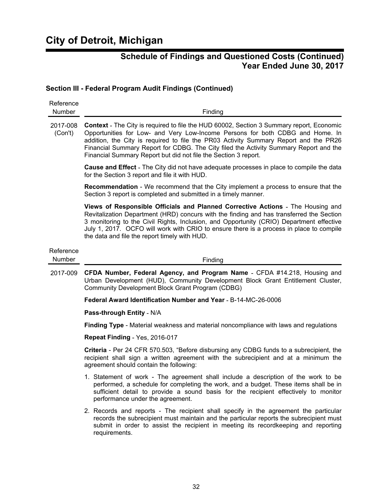## **Schedule of Findings and Questioned Costs (Continued) Year Ended June 30, 2017**

#### **Section III - Federal Program Audit Findings (Continued)**

| Reference<br><b>Number</b> | Finding                                                                                                                                                                                                                                                                                                                                                                                                                              |
|----------------------------|--------------------------------------------------------------------------------------------------------------------------------------------------------------------------------------------------------------------------------------------------------------------------------------------------------------------------------------------------------------------------------------------------------------------------------------|
| 2017-008<br>(Con't)        | <b>Context</b> - The City is required to file the HUD 60002, Section 3 Summary report, Economic<br>Opportunities for Low- and Very Low-Income Persons for both CDBG and Home. In<br>addition, the City is required to file the PR03 Activity Summary Report and the PR26<br>Financial Summary Report for CDBG. The City filed the Activity Summary Report and the<br>Financial Summary Report but did not file the Section 3 report. |
|                            | <b>Cause and Effect</b> - The City did not have adequate processes in place to compile the data<br>for the Section 3 report and file it with HUD.                                                                                                                                                                                                                                                                                    |
|                            | Recommendation - We recommend that the City implement a process to ensure that the<br>Section 3 report is completed and submitted in a timely manner.                                                                                                                                                                                                                                                                                |
|                            | Views of Responsible Officials and Planned Corrective Actions - The Housing and<br>Revitalization Department (HRD) concurs with the finding and has transferred the Section<br>3 monitoring to the Civil Rights, Inclusion, and Opportunity (CRIO) Department effective<br>July 1, 2017. OCFO will work with CRIO to ensure there is a process in place to compile<br>the data and file the report timely with HUD.                  |
| Reference<br>Number        | Finding                                                                                                                                                                                                                                                                                                                                                                                                                              |
| 2017-009                   | CFDA Number, Federal Agency, and Program Name - CFDA #14.218, Housing and<br>Urban Development (HUD), Community Development Block Grant Entitlement Cluster,<br>Community Development Block Grant Program (CDBG)                                                                                                                                                                                                                     |
|                            | Federal Award Identification Number and Year - B-14-MC-26-0006                                                                                                                                                                                                                                                                                                                                                                       |
|                            | Pass-through Entity - N/A                                                                                                                                                                                                                                                                                                                                                                                                            |
|                            | Finding Type - Material weakness and material noncompliance with laws and regulations                                                                                                                                                                                                                                                                                                                                                |
|                            | Repeat Finding - Yes, 2016-017                                                                                                                                                                                                                                                                                                                                                                                                       |
|                            | Criteria - Per 24 CFR 570.503, "Before disbursing any CDBG funds to a subrecipient, the<br>recipient shall sign a written agreement with the subrecipient and at a minimum the<br>agreement should contain the following:                                                                                                                                                                                                            |
|                            | 1. Statement of work - The agreement shall include a description of the work to be<br>performed, a schedule for completing the work, and a budget. These items shall be in<br>sufficient detail to provide a sound basis for the recipient effectively to monitor<br>performance under the agreement.                                                                                                                                |
|                            |                                                                                                                                                                                                                                                                                                                                                                                                                                      |

2. Records and reports - The recipient shall specify in the agreement the particular records the subrecipient must maintain and the particular reports the subrecipient must submit in order to assist the recipient in meeting its recordkeeping and reporting requirements.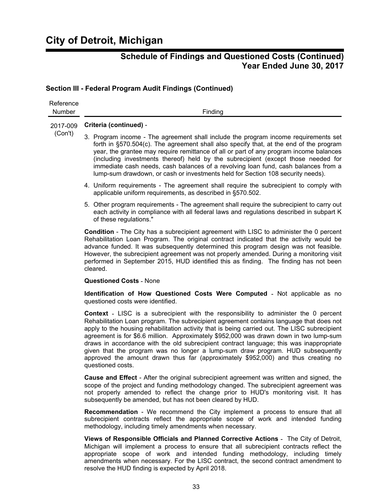## **Schedule of Findings and Questioned Costs (Continued) Year Ended June 30, 2017**

#### **Section III - Federal Program Audit Findings (Continued)**

| Reference<br>Number | Finding                                                                                                                                                                                                                                                                                                                                                                                                                                                                                                                                                                                                                                                                  |  |  |
|---------------------|--------------------------------------------------------------------------------------------------------------------------------------------------------------------------------------------------------------------------------------------------------------------------------------------------------------------------------------------------------------------------------------------------------------------------------------------------------------------------------------------------------------------------------------------------------------------------------------------------------------------------------------------------------------------------|--|--|
| 2017-009<br>(Con't) | Criteria (continued) -                                                                                                                                                                                                                                                                                                                                                                                                                                                                                                                                                                                                                                                   |  |  |
|                     | 3. Program income - The agreement shall include the program income requirements set<br>forth in §570.504(c). The agreement shall also specify that, at the end of the program<br>year, the grantee may require remittance of all or part of any program income balances<br>(including investments thereof) held by the subrecipient (except those needed for<br>immediate cash needs, cash balances of a revolving loan fund, cash balances from a<br>lump-sum drawdown, or cash or investments held for Section 108 security needs).                                                                                                                                    |  |  |
|                     | 4. Uniform requirements - The agreement shall require the subrecipient to comply with<br>applicable uniform requirements, as described in §570.502.                                                                                                                                                                                                                                                                                                                                                                                                                                                                                                                      |  |  |
|                     | 5. Other program requirements - The agreement shall require the subrecipient to carry out<br>each activity in compliance with all federal laws and regulations described in subpart K<br>of these regulations."                                                                                                                                                                                                                                                                                                                                                                                                                                                          |  |  |
|                     | <b>Condition</b> - The City has a subrecipient agreement with LISC to administer the 0 percent<br>Rehabilitation Loan Program. The original contract indicated that the activity would be<br>advance funded. It was subsequently determined this program design was not feasible.<br>However, the subrecipient agreement was not properly amended. During a monitoring visit<br>performed in September 2015, HUD identified this as finding. The finding has not been<br>cleared.                                                                                                                                                                                        |  |  |
|                     | <b>Questioned Costs - None</b>                                                                                                                                                                                                                                                                                                                                                                                                                                                                                                                                                                                                                                           |  |  |
|                     | Identification of How Questioned Costs Were Computed - Not applicable as no<br>questioned costs were identified.                                                                                                                                                                                                                                                                                                                                                                                                                                                                                                                                                         |  |  |
|                     | <b>Context</b> - LISC is a subrecipient with the responsibility to administer the 0 percent<br>Rehabilitation Loan program. The subrecipient agreement contains language that does not<br>apply to the housing rehabilitation activity that is being carried out. The LISC subrecipient<br>agreement is for \$6.6 million. Approximately \$952,000 was drawn down in two lump-sum<br>draws in accordance with the old subrecipient contract language; this was inappropriate<br>given that the program was no longer a lump-sum draw program. HUD subsequently<br>approved the amount drawn thus far (approximately \$952,000) and thus creating no<br>questioned costs. |  |  |
|                     | <b>Cause and Effect</b> - After the original subrecipient agreement was written and signed, the<br>scope of the project and funding methodology changed. The subrecipient agreement was<br>not properly amended to reflect the change prior to HUD's monitoring visit. It has<br>subsequently be amended, but has not been cleared by HUD.                                                                                                                                                                                                                                                                                                                               |  |  |
|                     | <b>Recommendation</b> - We recommend the City implement a process to ensure that all<br>subrecipient contracts reflect the appropriate scope of work and intended funding<br>methodology, including timely amendments when necessary.                                                                                                                                                                                                                                                                                                                                                                                                                                    |  |  |
|                     | Views of Responsible Officials and Planned Corrective Actions - The City of Detroit,<br>Michigan will implement a process to ensure that all subrecipient contracts reflect the                                                                                                                                                                                                                                                                                                                                                                                                                                                                                          |  |  |

appropriate scope of work and intended funding methodology, including timely amendments when necessary. For the LISC contract, the second contract amendment to resolve the HUD finding is expected by April 2018.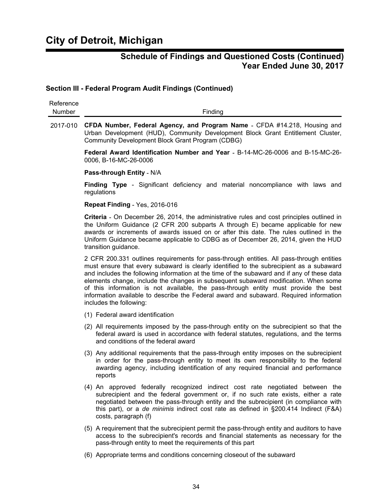## **Schedule of Findings and Questioned Costs (Continued) Year Ended June 30, 2017**

#### **Section III - Federal Program Audit Findings (Continued)**

| Reference<br>Number | Finding                                                                                                                                                                                                                                                                                                                                                                                                                                                                                                                                                                               |
|---------------------|---------------------------------------------------------------------------------------------------------------------------------------------------------------------------------------------------------------------------------------------------------------------------------------------------------------------------------------------------------------------------------------------------------------------------------------------------------------------------------------------------------------------------------------------------------------------------------------|
| 2017-010            | CFDA Number, Federal Agency, and Program Name - CFDA #14.218, Housing and<br>Urban Development (HUD), Community Development Block Grant Entitlement Cluster,<br><b>Community Development Block Grant Program (CDBG)</b>                                                                                                                                                                                                                                                                                                                                                               |
|                     | Federal Award Identification Number and Year - B-14-MC-26-0006 and B-15-MC-26-<br>0006, B-16-MC-26-0006                                                                                                                                                                                                                                                                                                                                                                                                                                                                               |
|                     | Pass-through Entity - N/A                                                                                                                                                                                                                                                                                                                                                                                                                                                                                                                                                             |
|                     | Finding Type - Significant deficiency and material noncompliance with laws and<br>regulations                                                                                                                                                                                                                                                                                                                                                                                                                                                                                         |
|                     | Repeat Finding - Yes, 2016-016                                                                                                                                                                                                                                                                                                                                                                                                                                                                                                                                                        |
|                     | <b>Criteria</b> - On December 26, 2014, the administrative rules and cost principles outlined in<br>the Uniform Guidance (2 CFR 200 subparts A through E) became applicable for new<br>awards or increments of awards issued on or after this date. The rules outlined in the<br>Uniform Guidance became applicable to CDBG as of December 26, 2014, given the HUD<br>transition guidance.                                                                                                                                                                                            |
|                     | 2 CFR 200.331 outlines requirements for pass-through entities. All pass-through entities<br>must ensure that every subaward is clearly identified to the subrecipient as a subaward<br>and includes the following information at the time of the subaward and if any of these data<br>elements change, include the changes in subsequent subaward modification. When some<br>of this information is not available, the pass-through entity must provide the best<br>information available to describe the Federal award and subaward. Required information<br>includes the following: |
|                     | (1) Federal award identification                                                                                                                                                                                                                                                                                                                                                                                                                                                                                                                                                      |
|                     | (2) All requirements imposed by the pass-through entity on the subrecipient so that the<br>federal award is used in accordance with federal statutes, regulations, and the terms<br>and conditions of the federal award                                                                                                                                                                                                                                                                                                                                                               |
|                     | (3) Any additional requirements that the pass-through entity imposes on the subrecipient<br>in order for the pass-through entity to meet its own responsibility to the federal<br>awarding agency, including identification of any required financial and performance<br>reports                                                                                                                                                                                                                                                                                                      |
|                     | (4) An approved federally recognized indirect cost rate negotiated between the<br>subrecipient and the federal government or, if no such rate exists, either a rate<br>negotiated between the pass-through entity and the subrecipient (in compliance with<br>this part), or a de minimis indirect cost rate as defined in §200.414 Indirect (F&A)<br>costs, paragraph (f)                                                                                                                                                                                                            |
|                     | (5) A requirement that the subrecipient permit the pass-through entity and auditors to have<br>access to the subrecipient's records and financial statements as necessary for the                                                                                                                                                                                                                                                                                                                                                                                                     |

pass-through entity to meet the requirements of this part (6) Appropriate terms and conditions concerning closeout of the subaward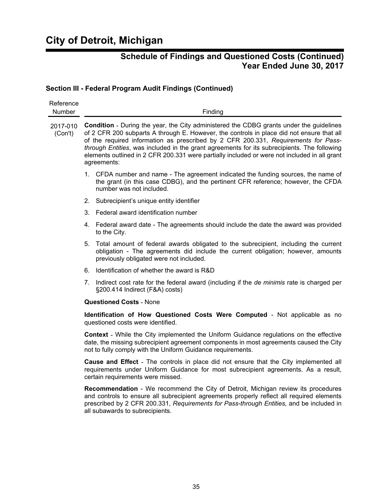## **Schedule of Findings and Questioned Costs (Continued) Year Ended June 30, 2017**

### **Section III - Federal Program Audit Findings (Continued)**

| Reference<br>Number |                                                                                                                                                                                                                                                                                                                                                                                                                                                                                                 | Finding                                                                                                                                                                                                                                                                                                      |  |  |  |
|---------------------|-------------------------------------------------------------------------------------------------------------------------------------------------------------------------------------------------------------------------------------------------------------------------------------------------------------------------------------------------------------------------------------------------------------------------------------------------------------------------------------------------|--------------------------------------------------------------------------------------------------------------------------------------------------------------------------------------------------------------------------------------------------------------------------------------------------------------|--|--|--|
| 2017-010<br>(Con't) | <b>Condition</b> - During the year, the City administered the CDBG grants under the guidelines<br>of 2 CFR 200 subparts A through E. However, the controls in place did not ensure that all<br>of the required information as prescribed by 2 CFR 200.331, Requirements for Pass-<br>through Entities, was included in the grant agreements for its subrecipients. The following<br>elements outlined in 2 CFR 200.331 were partially included or were not included in all grant<br>agreements: |                                                                                                                                                                                                                                                                                                              |  |  |  |
|                     |                                                                                                                                                                                                                                                                                                                                                                                                                                                                                                 | 1. CFDA number and name - The agreement indicated the funding sources, the name of<br>the grant (in this case CDBG), and the pertinent CFR reference; however, the CFDA<br>number was not included.                                                                                                          |  |  |  |
|                     |                                                                                                                                                                                                                                                                                                                                                                                                                                                                                                 | 2. Subrecipient's unique entity identifier                                                                                                                                                                                                                                                                   |  |  |  |
|                     |                                                                                                                                                                                                                                                                                                                                                                                                                                                                                                 | 3. Federal award identification number                                                                                                                                                                                                                                                                       |  |  |  |
|                     |                                                                                                                                                                                                                                                                                                                                                                                                                                                                                                 | 4. Federal award date - The agreements should include the date the award was provided<br>to the City.                                                                                                                                                                                                        |  |  |  |
|                     |                                                                                                                                                                                                                                                                                                                                                                                                                                                                                                 | 5. Total amount of federal awards obligated to the subrecipient, including the current<br>obligation - The agreements did include the current obligation; however, amounts<br>previously obligated were not included.                                                                                        |  |  |  |
|                     |                                                                                                                                                                                                                                                                                                                                                                                                                                                                                                 | 6. Identification of whether the award is R&D                                                                                                                                                                                                                                                                |  |  |  |
|                     |                                                                                                                                                                                                                                                                                                                                                                                                                                                                                                 | 7. Indirect cost rate for the federal award (including if the de minimis rate is charged per<br>§200.414 Indirect (F&A) costs)                                                                                                                                                                               |  |  |  |
|                     | <b>Questioned Costs - None</b>                                                                                                                                                                                                                                                                                                                                                                                                                                                                  |                                                                                                                                                                                                                                                                                                              |  |  |  |
|                     |                                                                                                                                                                                                                                                                                                                                                                                                                                                                                                 | Identification of How Questioned Costs Were Computed - Not applicable as no<br>questioned costs were identified.                                                                                                                                                                                             |  |  |  |
|                     |                                                                                                                                                                                                                                                                                                                                                                                                                                                                                                 | <b>Context</b> - While the City implemented the Uniform Guidance regulations on the effective<br>date, the missing subrecipient agreement components in most agreements caused the City<br>not to fully comply with the Uniform Guidance requirements.                                                       |  |  |  |
|                     |                                                                                                                                                                                                                                                                                                                                                                                                                                                                                                 | <b>Cause and Effect</b> - The controls in place did not ensure that the City implemented all<br>requirements under Uniform Guidance for most subrecipient agreements. As a result,<br>certain requirements were missed.                                                                                      |  |  |  |
|                     |                                                                                                                                                                                                                                                                                                                                                                                                                                                                                                 | Recommendation - We recommend the City of Detroit, Michigan review its procedures<br>and controls to ensure all subrecipient agreements properly reflect all required elements<br>prescribed by 2 CFR 200.331, Requirements for Pass-through Entities, and be included in<br>all subawards to subrecipients. |  |  |  |
|                     |                                                                                                                                                                                                                                                                                                                                                                                                                                                                                                 |                                                                                                                                                                                                                                                                                                              |  |  |  |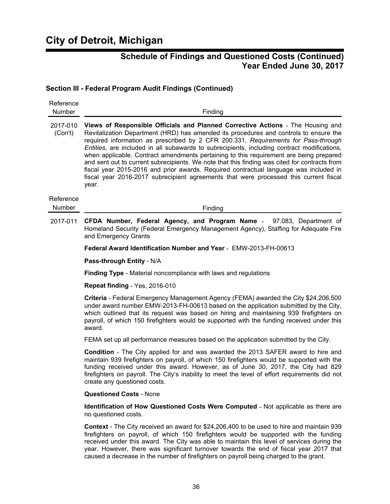## **Schedule of Findings and Questioned Costs (Continued) Year Ended June 30, 2017**

#### **Section III - Federal Program Audit Findings (Continued)**

| Reference<br><b>Number</b> | Finding                                                                                                                                                                                                                                                                                                                                                                                                                                                                                                                                                                                                                                                                                                                                             |
|----------------------------|-----------------------------------------------------------------------------------------------------------------------------------------------------------------------------------------------------------------------------------------------------------------------------------------------------------------------------------------------------------------------------------------------------------------------------------------------------------------------------------------------------------------------------------------------------------------------------------------------------------------------------------------------------------------------------------------------------------------------------------------------------|
| 2017-010<br>(Con't)        | Views of Responsible Officials and Planned Corrective Actions - The Housing and<br>Revitalization Department (HRD) has amended its procedures and controls to ensure the<br>required information as prescribed by 2 CFR 200.331, Requirements for Pass-through<br>Entities, are included in all subawards to subrecipients, including contract modifications,<br>when applicable. Contract amendments pertaining to this requirement are being prepared<br>and sent out to current subrecipients. We note that this finding was cited for contracts from<br>fiscal year 2015-2016 and prior awards. Required contractual language was included in<br>fiscal year 2016-2017 subrecipient agreements that were processed this current fiscal<br>year. |
| Reference<br>Number        | Finding                                                                                                                                                                                                                                                                                                                                                                                                                                                                                                                                                                                                                                                                                                                                             |
| 2017-011                   | CFDA Number, Federal Agency, and Program Name - 97.083, Department of<br>Homeland Security (Federal Emergency Management Agency), Staffing for Adequate Fire<br>and Emergency Grants                                                                                                                                                                                                                                                                                                                                                                                                                                                                                                                                                                |
|                            | Federal Award Identification Number and Year - EMW-2013-FH-00613                                                                                                                                                                                                                                                                                                                                                                                                                                                                                                                                                                                                                                                                                    |
|                            | Pass-through Entity - N/A                                                                                                                                                                                                                                                                                                                                                                                                                                                                                                                                                                                                                                                                                                                           |
|                            | <b>Finding Type - Material noncompliance with laws and regulations</b>                                                                                                                                                                                                                                                                                                                                                                                                                                                                                                                                                                                                                                                                              |
|                            | Repeat finding - Yes, 2016-010                                                                                                                                                                                                                                                                                                                                                                                                                                                                                                                                                                                                                                                                                                                      |
|                            | Criteria - Federal Emergency Management Agency (FEMA) awarded the City \$24,206,500<br>under award number EMW-2013-FH-00613 based on the application submitted by the City,<br>which outlined that its request was based on hiring and maintaining 939 firefighters on<br>payroll, of which 150 firefighters would be supported with the funding received under this<br>award.                                                                                                                                                                                                                                                                                                                                                                      |
|                            | FEMA set up all performance measures based on the application submitted by the City.                                                                                                                                                                                                                                                                                                                                                                                                                                                                                                                                                                                                                                                                |
|                            | <b>Condition</b> - The City applied for and was awarded the 2013 SAFER award to hire and<br>maintain 939 firefighters on payroll, of which 150 firefighters would be supported with the<br>funding received under this award. However, as of June 30, 2017, the City had 829<br>firefighters on payroll. The City's inability to meet the level of effort requirements did not<br>create any questioned costs.                                                                                                                                                                                                                                                                                                                                      |
|                            | <b>Questioned Costs - None</b>                                                                                                                                                                                                                                                                                                                                                                                                                                                                                                                                                                                                                                                                                                                      |
|                            | Identification of How Questioned Costs Were Computed - Not applicable as there are<br>no questioned costs.                                                                                                                                                                                                                                                                                                                                                                                                                                                                                                                                                                                                                                          |
|                            | Context - The City received an award for \$24,206,400 to be used to hire and maintain 939<br>firefighters on payroll, of which 150 firefighters would be supported with the funding<br>received under this award. The City was able to maintain this level of services during the                                                                                                                                                                                                                                                                                                                                                                                                                                                                   |

year. However, there was significant turnover towards the end of fiscal year 2017 that caused a decrease in the number of firefighters on payroll being charged to the grant.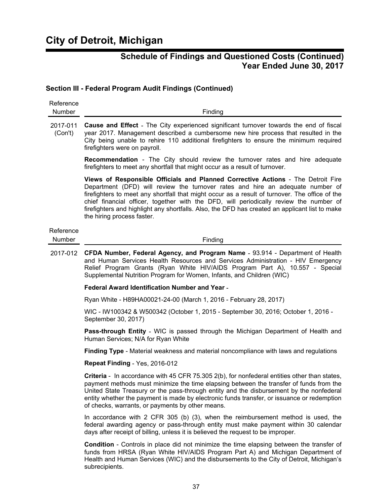subrecipients.

## **Schedule of Findings and Questioned Costs (Continued) Year Ended June 30, 2017**

## **Section III - Federal Program Audit Findings (Continued)**

| Reference<br>Number | Finding                                                                                                                                                                                                                                                                                                                                                                                                                                                                                        |
|---------------------|------------------------------------------------------------------------------------------------------------------------------------------------------------------------------------------------------------------------------------------------------------------------------------------------------------------------------------------------------------------------------------------------------------------------------------------------------------------------------------------------|
| 2017-011<br>(Con't) | <b>Cause and Effect</b> - The City experienced significant turnover towards the end of fiscal<br>year 2017. Management described a cumbersome new hire process that resulted in the<br>City being unable to rehire 110 additional firefighters to ensure the minimum required<br>firefighters were on payroll.                                                                                                                                                                                 |
|                     | <b>Recommendation</b> - The City should review the turnover rates and hire adequate<br>firefighters to meet any shortfall that might occur as a result of turnover.                                                                                                                                                                                                                                                                                                                            |
|                     | Views of Responsible Officials and Planned Corrective Actions - The Detroit Fire<br>Department (DFD) will review the turnover rates and hire an adequate number of<br>firefighters to meet any shortfall that might occur as a result of turnover. The office of the<br>chief financial officer, together with the DFD, will periodically review the number of<br>firefighters and highlight any shortfalls. Also, the DFD has created an applicant list to make<br>the hiring process faster. |
| Reference           |                                                                                                                                                                                                                                                                                                                                                                                                                                                                                                |
| Number              | Finding                                                                                                                                                                                                                                                                                                                                                                                                                                                                                        |
| 2017-012            | CFDA Number, Federal Agency, and Program Name - 93.914 - Department of Health<br>and Human Services Health Resources and Services Administration - HIV Emergency<br>Relief Program Grants (Ryan White HIV/AIDS Program Part A), 10.557 - Special<br>Supplemental Nutrition Program for Women, Infants, and Children (WIC)                                                                                                                                                                      |
|                     | <b>Federal Award Identification Number and Year -</b>                                                                                                                                                                                                                                                                                                                                                                                                                                          |
|                     | Ryan White - H89HA00021-24-00 (March 1, 2016 - February 28, 2017)                                                                                                                                                                                                                                                                                                                                                                                                                              |
|                     | WIC - IW100342 & W500342 (October 1, 2015 - September 30, 2016; October 1, 2016 -<br>September 30, 2017)                                                                                                                                                                                                                                                                                                                                                                                       |
|                     | Pass-through Entity - WIC is passed through the Michigan Department of Health and<br>Human Services; N/A for Ryan White                                                                                                                                                                                                                                                                                                                                                                        |
|                     | Finding Type - Material weakness and material noncompliance with laws and regulations                                                                                                                                                                                                                                                                                                                                                                                                          |
|                     | Repeat Finding - Yes, 2016-012                                                                                                                                                                                                                                                                                                                                                                                                                                                                 |
|                     | Criteria - In accordance with 45 CFR 75.305 2(b), for nonfederal entities other than states,<br>payment methods must minimize the time elapsing between the transfer of funds from the<br>United State Treasury or the pass-through entity and the disbursement by the nonfederal<br>entity whether the payment is made by electronic funds transfer, or issuance or redemption<br>of checks, warrants, or payments by other means.                                                            |
|                     | In accordance with 2 CFR 305 (b) $(3)$ , when the reimbursement method is used, the<br>federal awarding agency or pass-through entity must make payment within 30 calendar<br>days after receipt of billing, unless it is believed the request to be improper.                                                                                                                                                                                                                                 |
|                     | <b>Condition</b> - Controls in place did not minimize the time elapsing between the transfer of<br>funds from HRSA (Ryan White HIV/AIDS Program Part A) and Michigan Department of                                                                                                                                                                                                                                                                                                             |

Health and Human Services (WIC) and the disbursements to the City of Detroit, Michigan's